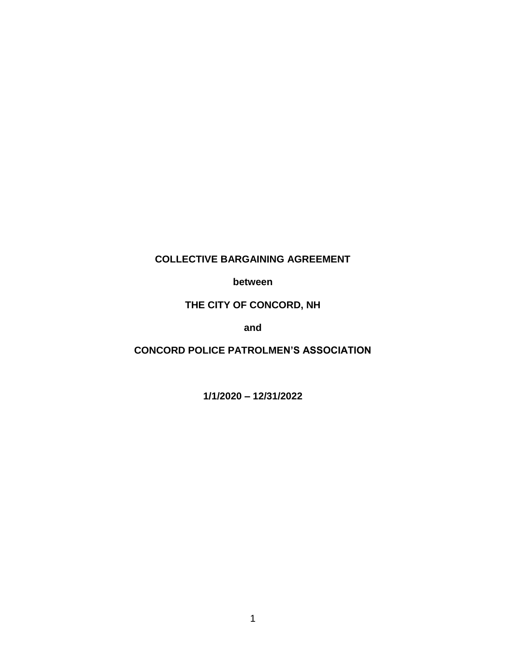# **COLLECTIVE BARGAINING AGREEMENT**

**between**

**THE CITY OF CONCORD, NH**

**and**

**CONCORD POLICE PATROLMEN'S ASSOCIATION**

**1/1/2020 – 12/31/2022**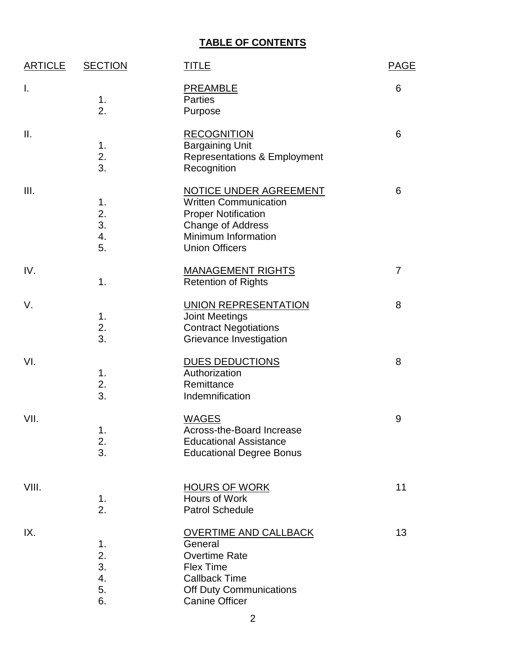# **TABLE OF CONTENTS**

| <b>ARTICLE</b> | <b>SECTION</b>                   | <b>TITLE</b>                                                                                                                                                     | <b>PAGE</b> |
|----------------|----------------------------------|------------------------------------------------------------------------------------------------------------------------------------------------------------------|-------------|
| Ι.             | 1.<br>2.                         | <b>PREAMBLE</b><br><b>Parties</b><br>Purpose                                                                                                                     | 6           |
| Ш.             | 1.<br>2.<br>3.                   | <b>RECOGNITION</b><br><b>Bargaining Unit</b><br><b>Representations &amp; Employment</b><br>Recognition                                                           | 6           |
| Ш.             | 1.<br>2.<br>3.<br>4.<br>5.       | <b>NOTICE UNDER AGREEMENT</b><br><b>Written Communication</b><br><b>Proper Notification</b><br>Change of Address<br>Minimum Information<br><b>Union Officers</b> | 6           |
| IV.            | 1.                               | <b>MANAGEMENT RIGHTS</b><br><b>Retention of Rights</b>                                                                                                           | 7           |
| V.             | 1.<br>2.<br>3.                   | <b>UNION REPRESENTATION</b><br><b>Joint Meetings</b><br><b>Contract Negotiations</b><br>Grievance Investigation                                                  | 8           |
| VI.            | 1.<br>2.<br>3.                   | <b>DUES DEDUCTIONS</b><br>Authorization<br>Remittance<br>Indemnification                                                                                         | 8           |
| VII.           | 1.<br>2.<br>3.                   | <b>WAGES</b><br>Across-the-Board Increase<br><b>Educational Assistance</b><br><b>Educational Degree Bonus</b>                                                    | 9           |
| VIII.          | 1.<br>2.                         | <b>HOURS OF WORK</b><br>Hours of Work<br><b>Patrol Schedule</b>                                                                                                  | 11          |
| IX.            | 1.<br>2.<br>3.<br>4.<br>5.<br>6. | <b>OVERTIME AND CALLBACK</b><br>General<br><b>Overtime Rate</b><br><b>Flex Time</b><br><b>Callback Time</b><br>Off Duty Communications<br><b>Canine Officer</b>  | 13          |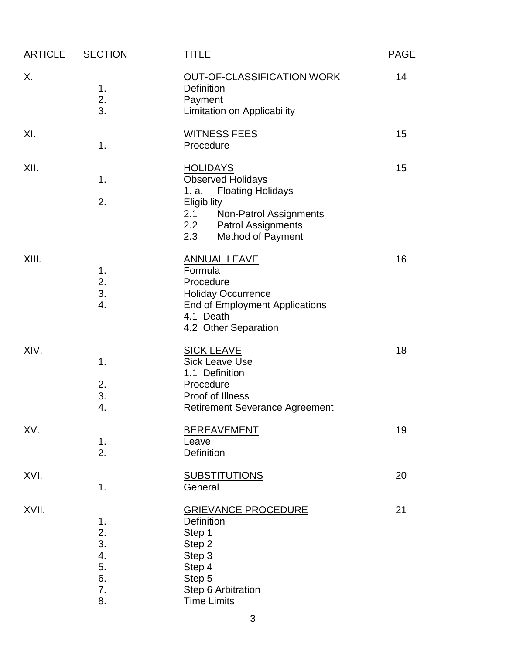| <b>ARTICLE</b> | <b>SECTION</b>                               | <b>TITLE</b>                                                                                                                                                                                                   | <b>PAGE</b> |
|----------------|----------------------------------------------|----------------------------------------------------------------------------------------------------------------------------------------------------------------------------------------------------------------|-------------|
| Х.             | 1.<br>2.<br>3.                               | OUT-OF-CLASSIFICATION WORK<br><b>Definition</b><br>Payment<br><b>Limitation on Applicability</b>                                                                                                               | 14          |
| XI.            | 1.                                           | <b>WITNESS FEES</b><br>Procedure                                                                                                                                                                               | 15          |
| XII.           | 1.<br>2.                                     | <b>HOLIDAYS</b><br><b>Observed Holidays</b><br><b>Floating Holidays</b><br>1. a.<br>Eligibility<br>2.1<br><b>Non-Patrol Assignments</b><br>2.2<br><b>Patrol Assignments</b><br>2.3<br><b>Method of Payment</b> | 15          |
| XIII.          | 1.<br>2.<br>3.<br>4.                         | <b>ANNUAL LEAVE</b><br>Formula<br>Procedure<br><b>Holiday Occurrence</b><br><b>End of Employment Applications</b><br>4.1 Death<br>4.2 Other Separation                                                         | 16          |
| XIV.           | 1.<br>2.<br>3.<br>4.                         | <b>SICK LEAVE</b><br><b>Sick Leave Use</b><br>1.1 Definition<br>Procedure<br>Proof of Illness<br><b>Retirement Severance Agreement</b>                                                                         | 18          |
| XV.            | 1.<br>2.                                     | <b>BEREAVEMENT</b><br>Leave<br>Definition                                                                                                                                                                      | 19          |
| XVI.           | 1.                                           | <b>SUBSTITUTIONS</b><br>General                                                                                                                                                                                | 20          |
| XVII.          | 1.<br>2.<br>3.<br>4.<br>5.<br>6.<br>7.<br>8. | <b>GRIEVANCE PROCEDURE</b><br><b>Definition</b><br>Step 1<br>Step 2<br>Step 3<br>Step 4<br>Step 5<br>Step 6 Arbitration<br><b>Time Limits</b>                                                                  | 21          |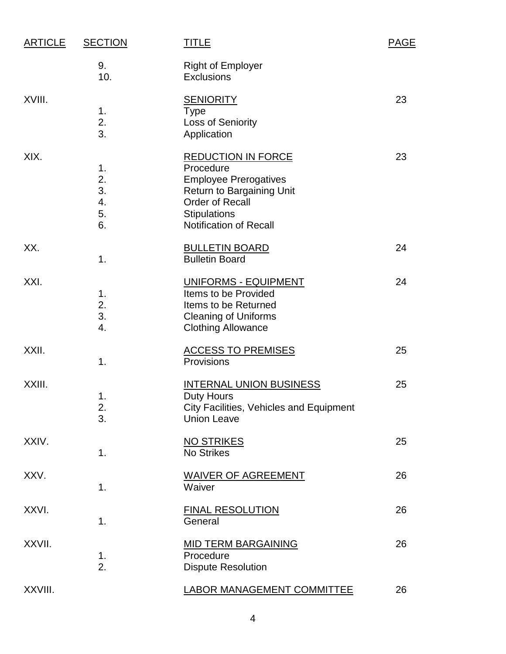| <b>ARTICLE</b> | <b>SECTION</b>                   | <b>TITLE</b>                                                                                                                                                                                 | <b>PAGE</b> |
|----------------|----------------------------------|----------------------------------------------------------------------------------------------------------------------------------------------------------------------------------------------|-------------|
|                | 9.<br>10.                        | <b>Right of Employer</b><br><b>Exclusions</b>                                                                                                                                                |             |
| XVIII.         | 1.<br>2.<br>3.                   | <b>SENIORITY</b><br><b>Type</b><br>Loss of Seniority<br>Application                                                                                                                          | 23          |
| XIX.           | 1.<br>2.<br>3.<br>4.<br>5.<br>6. | <b>REDUCTION IN FORCE</b><br>Procedure<br><b>Employee Prerogatives</b><br><b>Return to Bargaining Unit</b><br><b>Order of Recall</b><br><b>Stipulations</b><br><b>Notification of Recall</b> | 23          |
| XX.            | 1.                               | <b>BULLETIN BOARD</b><br><b>Bulletin Board</b>                                                                                                                                               | 24          |
| XXI.           | 1.<br>2.<br>3.<br>4.             | UNIFORMS - EQUIPMENT<br>Items to be Provided<br>Items to be Returned<br><b>Cleaning of Uniforms</b><br><b>Clothing Allowance</b>                                                             | 24          |
| XXII.          | 1.                               | <b>ACCESS TO PREMISES</b><br>Provisions                                                                                                                                                      | 25          |
| XXIII.         | 1.<br>2.<br>3.                   | <b>INTERNAL UNION BUSINESS</b><br><b>Duty Hours</b><br>City Facilities, Vehicles and Equipment<br><b>Union Leave</b>                                                                         | 25          |
| XXIV.          | 1.                               | <b>NO STRIKES</b><br><b>No Strikes</b>                                                                                                                                                       | 25          |
| XXV.           | 1.                               | <b>WAIVER OF AGREEMENT</b><br>Waiver                                                                                                                                                         | 26          |
| XXVI.          | 1.                               | <b>FINAL RESOLUTION</b><br>General                                                                                                                                                           | 26          |
| XXVII.         | 1.<br>2.                         | <b>MID TERM BARGAINING</b><br>Procedure<br><b>Dispute Resolution</b>                                                                                                                         | 26          |
| XXVIII.        |                                  | LABOR MANAGEMENT COMMITTEE                                                                                                                                                                   | 26          |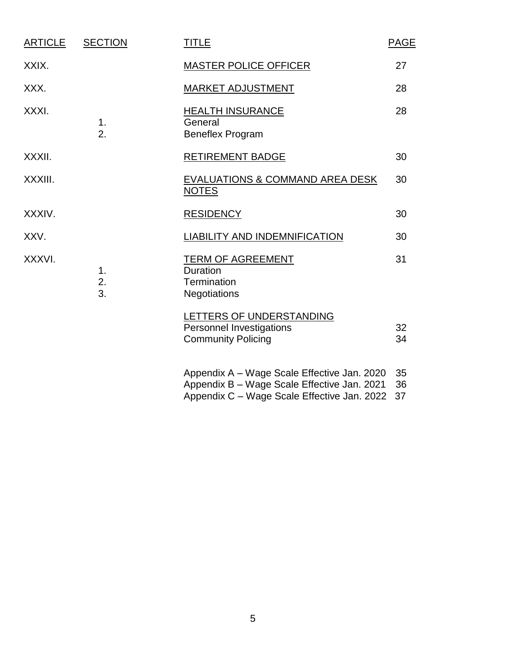| <b>ARTICLE</b> | <b>SECTION</b>         | <b>TITLE</b>                                                                                                                              | <b>PAGE</b>    |
|----------------|------------------------|-------------------------------------------------------------------------------------------------------------------------------------------|----------------|
| XXIX.          |                        | <b>MASTER POLICE OFFICER</b>                                                                                                              | 27             |
| XXX.           |                        | <b>MARKET ADJUSTMENT</b>                                                                                                                  | 28             |
| XXXI.          | 1.<br>$\overline{2}$ . | <b>HEALTH INSURANCE</b><br>General<br><b>Beneflex Program</b>                                                                             | 28             |
| XXXII.         |                        | <b>RETIREMENT BADGE</b>                                                                                                                   | 30             |
| XXXIII.        |                        | EVALUATIONS & COMMAND AREA DESK<br><b>NOTES</b>                                                                                           | 30             |
| XXXIV.         |                        | <b>RESIDENCY</b>                                                                                                                          | 30             |
| XXV.           |                        | <b>LIABILITY AND INDEMNIFICATION</b>                                                                                                      | 30             |
| XXXVI.         | 1.<br>2.<br>3.         | <b>TERM OF AGREEMENT</b><br><b>Duration</b><br>Termination<br><b>Negotiations</b>                                                         | 31             |
|                |                        | LETTERS OF UNDERSTANDING<br><b>Personnel Investigations</b><br><b>Community Policing</b>                                                  | 32<br>34       |
|                |                        | Appendix A - Wage Scale Effective Jan. 2020<br>Appendix B - Wage Scale Effective Jan. 2021<br>Appendix C - Wage Scale Effective Jan. 2022 | 35<br>36<br>37 |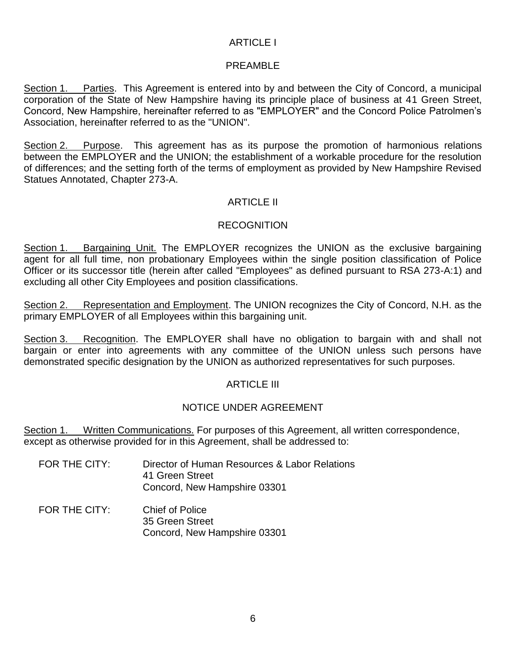# ARTICLE I

#### PRFAMBL<sub>F</sub>

Section 1. Parties. This Agreement is entered into by and between the City of Concord, a municipal corporation of the State of New Hampshire having its principle place of business at 41 Green Street, Concord, New Hampshire, hereinafter referred to as "EMPLOYER" and the Concord Police Patrolmen's Association, hereinafter referred to as the "UNION".

Section 2. Purpose. This agreement has as its purpose the promotion of harmonious relations between the EMPLOYER and the UNION; the establishment of a workable procedure for the resolution of differences; and the setting forth of the terms of employment as provided by New Hampshire Revised Statues Annotated, Chapter 273-A.

## ARTICLE II

# RECOGNITION

Section 1. Bargaining Unit. The EMPLOYER recognizes the UNION as the exclusive bargaining agent for all full time, non probationary Employees within the single position classification of Police Officer or its successor title (herein after called "Employees" as defined pursuant to RSA 273-A:1) and excluding all other City Employees and position classifications.

Section 2. Representation and Employment. The UNION recognizes the City of Concord, N.H. as the primary EMPLOYER of all Employees within this bargaining unit.

Section 3. Recognition. The EMPLOYER shall have no obligation to bargain with and shall not bargain or enter into agreements with any committee of the UNION unless such persons have demonstrated specific designation by the UNION as authorized representatives for such purposes.

#### **ARTICLE III**

#### NOTICE UNDER AGREEMENT

Section 1. Written Communications. For purposes of this Agreement, all written correspondence, except as otherwise provided for in this Agreement, shall be addressed to:

- FOR THE CITY: Director of Human Resources & Labor Relations 41 Green Street Concord, New Hampshire 03301
- FOR THE CITY: Chief of Police 35 Green Street Concord, New Hampshire 03301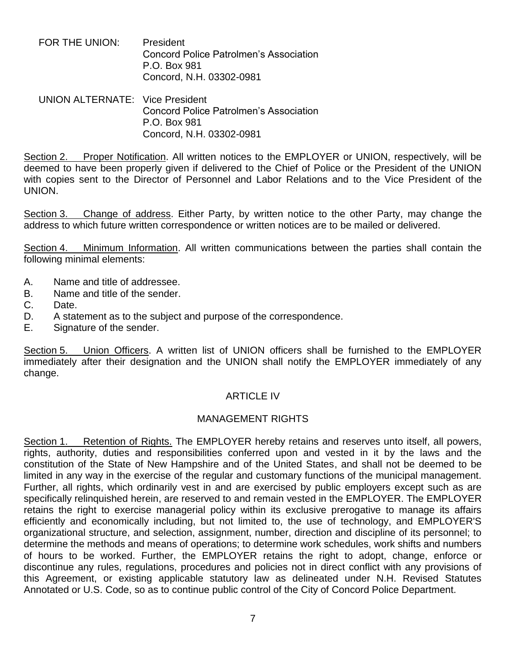FOR THE UNION: President Concord Police Patrolmen's Association P.O. Box 981 Concord, N.H. 03302-0981

UNION ALTERNATE: Vice President Concord Police Patrolmen's Association P.O. Box 981 Concord, N.H. 03302-0981

Section 2. Proper Notification. All written notices to the EMPLOYER or UNION, respectively, will be deemed to have been properly given if delivered to the Chief of Police or the President of the UNION with copies sent to the Director of Personnel and Labor Relations and to the Vice President of the UNION.

Section 3. Change of address. Either Party, by written notice to the other Party, may change the address to which future written correspondence or written notices are to be mailed or delivered.

Section 4. Minimum Information. All written communications between the parties shall contain the following minimal elements:

- A. Name and title of addressee.
- B. Name and title of the sender.
- C. Date.
- D. A statement as to the subject and purpose of the correspondence.
- E. Signature of the sender.

Section 5. Union Officers. A written list of UNION officers shall be furnished to the EMPLOYER immediately after their designation and the UNION shall notify the EMPLOYER immediately of any change.

## ARTICLE IV

#### MANAGEMENT RIGHTS

Section 1. Retention of Rights. The EMPLOYER hereby retains and reserves unto itself, all powers, rights, authority, duties and responsibilities conferred upon and vested in it by the laws and the constitution of the State of New Hampshire and of the United States, and shall not be deemed to be limited in any way in the exercise of the regular and customary functions of the municipal management. Further, all rights, which ordinarily vest in and are exercised by public employers except such as are specifically relinquished herein, are reserved to and remain vested in the EMPLOYER. The EMPLOYER retains the right to exercise managerial policy within its exclusive prerogative to manage its affairs efficiently and economically including, but not limited to, the use of technology, and EMPLOYER'S organizational structure, and selection, assignment, number, direction and discipline of its personnel; to determine the methods and means of operations; to determine work schedules, work shifts and numbers of hours to be worked. Further, the EMPLOYER retains the right to adopt, change, enforce or discontinue any rules, regulations, procedures and policies not in direct conflict with any provisions of this Agreement, or existing applicable statutory law as delineated under N.H. Revised Statutes Annotated or U.S. Code, so as to continue public control of the City of Concord Police Department.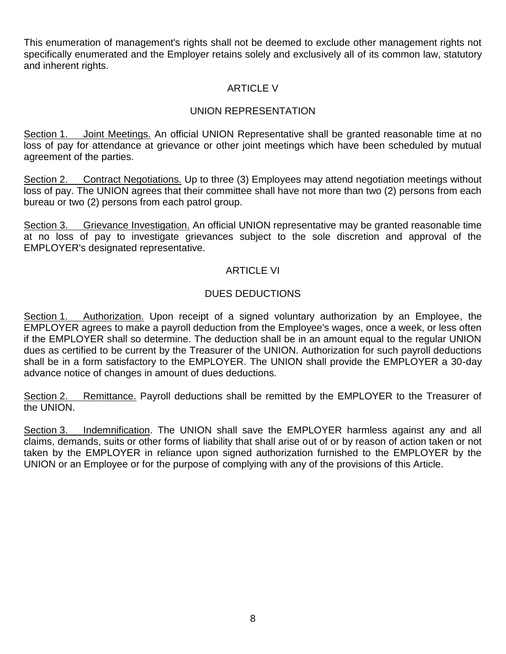This enumeration of management's rights shall not be deemed to exclude other management rights not specifically enumerated and the Employer retains solely and exclusively all of its common law, statutory and inherent rights.

# ARTICLE V

# UNION REPRESENTATION

Section 1. Joint Meetings. An official UNION Representative shall be granted reasonable time at no loss of pay for attendance at grievance or other joint meetings which have been scheduled by mutual agreement of the parties.

Section 2. Contract Negotiations. Up to three (3) Employees may attend negotiation meetings without loss of pay. The UNION agrees that their committee shall have not more than two (2) persons from each bureau or two (2) persons from each patrol group.

Section 3. Grievance Investigation. An official UNION representative may be granted reasonable time at no loss of pay to investigate grievances subject to the sole discretion and approval of the EMPLOYER's designated representative.

## ARTICLE VI

# DUES DEDUCTIONS

Section 1. Authorization. Upon receipt of a signed voluntary authorization by an Employee, the EMPLOYER agrees to make a payroll deduction from the Employee's wages, once a week, or less often if the EMPLOYER shall so determine. The deduction shall be in an amount equal to the regular UNION dues as certified to be current by the Treasurer of the UNION. Authorization for such payroll deductions shall be in a form satisfactory to the EMPLOYER. The UNION shall provide the EMPLOYER a 30-day advance notice of changes in amount of dues deductions.

Section 2. Remittance. Payroll deductions shall be remitted by the EMPLOYER to the Treasurer of the UNION.

Section 3. Indemnification. The UNION shall save the EMPLOYER harmless against any and all claims, demands, suits or other forms of liability that shall arise out of or by reason of action taken or not taken by the EMPLOYER in reliance upon signed authorization furnished to the EMPLOYER by the UNION or an Employee or for the purpose of complying with any of the provisions of this Article.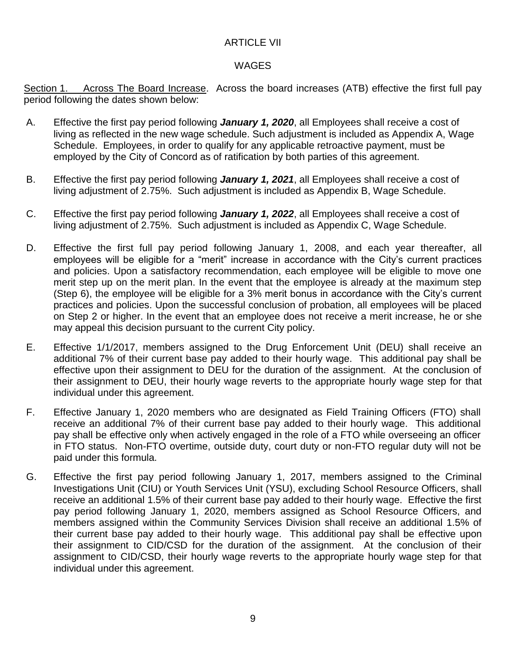# ARTICLE VII

# WAGES

Section 1. Across The Board Increase. Across the board increases (ATB) effective the first full pay period following the dates shown below:

- A. Effective the first pay period following *January 1, 2020*, all Employees shall receive a cost of living as reflected in the new wage schedule. Such adjustment is included as Appendix A, Wage Schedule. Employees, in order to qualify for any applicable retroactive payment, must be employed by the City of Concord as of ratification by both parties of this agreement.
- B. Effective the first pay period following *January 1, 2021*, all Employees shall receive a cost of living adjustment of 2.75%. Such adjustment is included as Appendix B, Wage Schedule.
- C. Effective the first pay period following *January 1, 2022*, all Employees shall receive a cost of living adjustment of 2.75%. Such adjustment is included as Appendix C, Wage Schedule.
- D. Effective the first full pay period following January 1, 2008, and each year thereafter, all employees will be eligible for a "merit" increase in accordance with the City's current practices and policies. Upon a satisfactory recommendation, each employee will be eligible to move one merit step up on the merit plan. In the event that the employee is already at the maximum step (Step 6), the employee will be eligible for a 3% merit bonus in accordance with the City's current practices and policies. Upon the successful conclusion of probation, all employees will be placed on Step 2 or higher. In the event that an employee does not receive a merit increase, he or she may appeal this decision pursuant to the current City policy.
- E. Effective 1/1/2017, members assigned to the Drug Enforcement Unit (DEU) shall receive an additional 7% of their current base pay added to their hourly wage. This additional pay shall be effective upon their assignment to DEU for the duration of the assignment. At the conclusion of their assignment to DEU, their hourly wage reverts to the appropriate hourly wage step for that individual under this agreement.
- F. Effective January 1, 2020 members who are designated as Field Training Officers (FTO) shall receive an additional 7% of their current base pay added to their hourly wage. This additional pay shall be effective only when actively engaged in the role of a FTO while overseeing an officer in FTO status. Non-FTO overtime, outside duty, court duty or non-FTO regular duty will not be paid under this formula.
- G. Effective the first pay period following January 1, 2017, members assigned to the Criminal Investigations Unit (CIU) or Youth Services Unit (YSU), excluding School Resource Officers, shall receive an additional 1.5% of their current base pay added to their hourly wage. Effective the first pay period following January 1, 2020, members assigned as School Resource Officers, and members assigned within the Community Services Division shall receive an additional 1.5% of their current base pay added to their hourly wage. This additional pay shall be effective upon their assignment to CID/CSD for the duration of the assignment. At the conclusion of their assignment to CID/CSD, their hourly wage reverts to the appropriate hourly wage step for that individual under this agreement.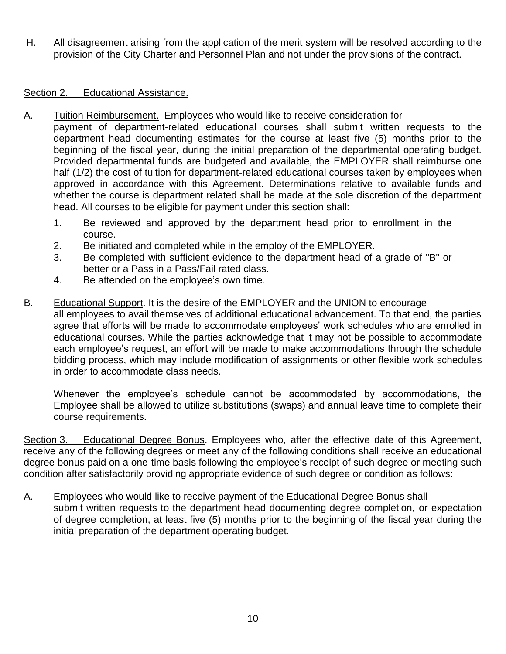H. All disagreement arising from the application of the merit system will be resolved according to the provision of the City Charter and Personnel Plan and not under the provisions of the contract.

#### Section 2. Educational Assistance.

- A. Tuition Reimbursement. Employees who would like to receive consideration for payment of department-related educational courses shall submit written requests to the department head documenting estimates for the course at least five (5) months prior to the beginning of the fiscal year, during the initial preparation of the departmental operating budget. Provided departmental funds are budgeted and available, the EMPLOYER shall reimburse one half (1/2) the cost of tuition for department-related educational courses taken by employees when approved in accordance with this Agreement. Determinations relative to available funds and whether the course is department related shall be made at the sole discretion of the department head. All courses to be eligible for payment under this section shall:
	- 1. Be reviewed and approved by the department head prior to enrollment in the course.
	- 2. Be initiated and completed while in the employ of the EMPLOYER.
	- 3. Be completed with sufficient evidence to the department head of a grade of "B" or better or a Pass in a Pass/Fail rated class.
	- 4. Be attended on the employee's own time.
- B. Educational Support. It is the desire of the EMPLOYER and the UNION to encourage all employees to avail themselves of additional educational advancement. To that end, the parties agree that efforts will be made to accommodate employees' work schedules who are enrolled in educational courses. While the parties acknowledge that it may not be possible to accommodate each employee's request, an effort will be made to make accommodations through the schedule bidding process, which may include modification of assignments or other flexible work schedules in order to accommodate class needs.

Whenever the employee's schedule cannot be accommodated by accommodations, the Employee shall be allowed to utilize substitutions (swaps) and annual leave time to complete their course requirements.

Section 3. Educational Degree Bonus. Employees who, after the effective date of this Agreement, receive any of the following degrees or meet any of the following conditions shall receive an educational degree bonus paid on a one-time basis following the employee's receipt of such degree or meeting such condition after satisfactorily providing appropriate evidence of such degree or condition as follows:

A. Employees who would like to receive payment of the Educational Degree Bonus shall submit written requests to the department head documenting degree completion, or expectation of degree completion, at least five (5) months prior to the beginning of the fiscal year during the initial preparation of the department operating budget.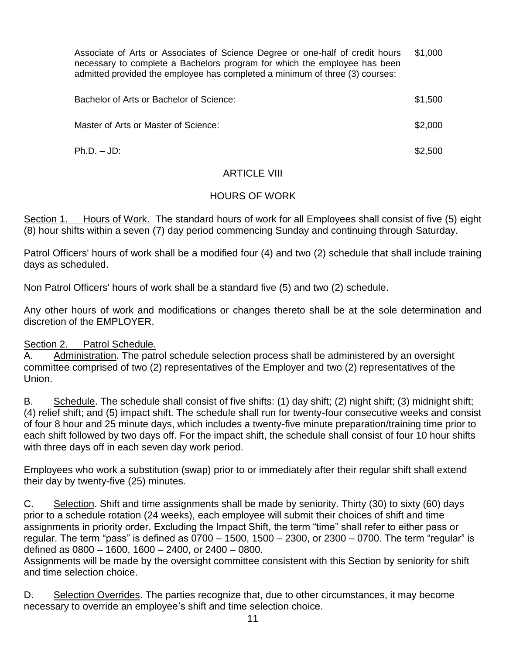Associate of Arts or Associates of Science Degree or one-half of credit hours necessary to complete a Bachelors program for which the employee has been admitted provided the employee has completed a minimum of three (3) courses: \$1,000

| Bachelor of Arts or Bachelor of Science: | \$1,500 |
|------------------------------------------|---------|
| Master of Arts or Master of Science:     | \$2,000 |
| $Ph.D. - JD.$                            | \$2,500 |

## ARTICLE VIII

## HOURS OF WORK

Section 1. Hours of Work. The standard hours of work for all Employees shall consist of five (5) eight (8) hour shifts within a seven (7) day period commencing Sunday and continuing through Saturday.

Patrol Officers' hours of work shall be a modified four (4) and two (2) schedule that shall include training days as scheduled.

Non Patrol Officers' hours of work shall be a standard five (5) and two (2) schedule.

Any other hours of work and modifications or changes thereto shall be at the sole determination and discretion of the EMPLOYER.

#### Section 2. Patrol Schedule.

A. Administration. The patrol schedule selection process shall be administered by an oversight committee comprised of two (2) representatives of the Employer and two (2) representatives of the Union.

B. Schedule. The schedule shall consist of five shifts: (1) day shift; (2) night shift; (3) midnight shift; (4) relief shift; and (5) impact shift. The schedule shall run for twenty-four consecutive weeks and consist of four 8 hour and 25 minute days, which includes a twenty-five minute preparation/training time prior to each shift followed by two days off. For the impact shift, the schedule shall consist of four 10 hour shifts with three days off in each seven day work period.

Employees who work a substitution (swap) prior to or immediately after their regular shift shall extend their day by twenty-five (25) minutes.

C. Selection. Shift and time assignments shall be made by seniority. Thirty (30) to sixty (60) days prior to a schedule rotation (24 weeks), each employee will submit their choices of shift and time assignments in priority order. Excluding the Impact Shift, the term "time" shall refer to either pass or regular. The term "pass" is defined as 0700 – 1500, 1500 – 2300, or 2300 – 0700. The term "regular" is defined as 0800 – 1600, 1600 – 2400, or 2400 – 0800.

Assignments will be made by the oversight committee consistent with this Section by seniority for shift and time selection choice.

D. Selection Overrides. The parties recognize that, due to other circumstances, it may become necessary to override an employee's shift and time selection choice.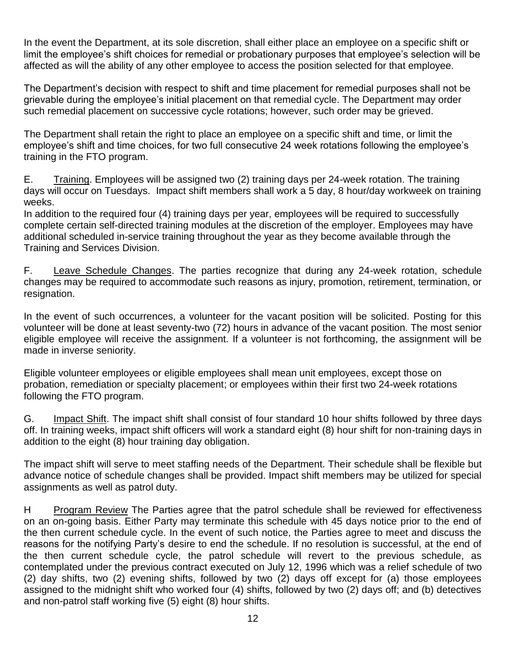In the event the Department, at its sole discretion, shall either place an employee on a specific shift or limit the employee's shift choices for remedial or probationary purposes that employee's selection will be affected as will the ability of any other employee to access the position selected for that employee.

The Department's decision with respect to shift and time placement for remedial purposes shall not be grievable during the employee's initial placement on that remedial cycle. The Department may order such remedial placement on successive cycle rotations; however, such order may be grieved.

The Department shall retain the right to place an employee on a specific shift and time, or limit the employee's shift and time choices, for two full consecutive 24 week rotations following the employee's training in the FTO program.

E. Training. Employees will be assigned two (2) training days per 24-week rotation. The training days will occur on Tuesdays. Impact shift members shall work a 5 day, 8 hour/day workweek on training weeks.

In addition to the required four (4) training days per year, employees will be required to successfully complete certain self-directed training modules at the discretion of the employer. Employees may have additional scheduled in-service training throughout the year as they become available through the Training and Services Division.

F. Leave Schedule Changes. The parties recognize that during any 24-week rotation, schedule changes may be required to accommodate such reasons as injury, promotion, retirement, termination, or resignation.

In the event of such occurrences, a volunteer for the vacant position will be solicited. Posting for this volunteer will be done at least seventy-two (72) hours in advance of the vacant position. The most senior eligible employee will receive the assignment. If a volunteer is not forthcoming, the assignment will be made in inverse seniority.

Eligible volunteer employees or eligible employees shall mean unit employees, except those on probation, remediation or specialty placement; or employees within their first two 24-week rotations following the FTO program.

G. Impact Shift. The impact shift shall consist of four standard 10 hour shifts followed by three days off. In training weeks, impact shift officers will work a standard eight (8) hour shift for non-training days in addition to the eight (8) hour training day obligation.

The impact shift will serve to meet staffing needs of the Department. Their schedule shall be flexible but advance notice of schedule changes shall be provided. Impact shift members may be utilized for special assignments as well as patrol duty.

H Program Review The Parties agree that the patrol schedule shall be reviewed for effectiveness on an on-going basis. Either Party may terminate this schedule with 45 days notice prior to the end of the then current schedule cycle. In the event of such notice, the Parties agree to meet and discuss the reasons for the notifying Party's desire to end the schedule. If no resolution is successful, at the end of the then current schedule cycle, the patrol schedule will revert to the previous schedule, as contemplated under the previous contract executed on July 12, 1996 which was a relief schedule of two (2) day shifts, two (2) evening shifts, followed by two (2) days off except for (a) those employees assigned to the midnight shift who worked four (4) shifts, followed by two (2) days off; and (b) detectives and non-patrol staff working five (5) eight (8) hour shifts.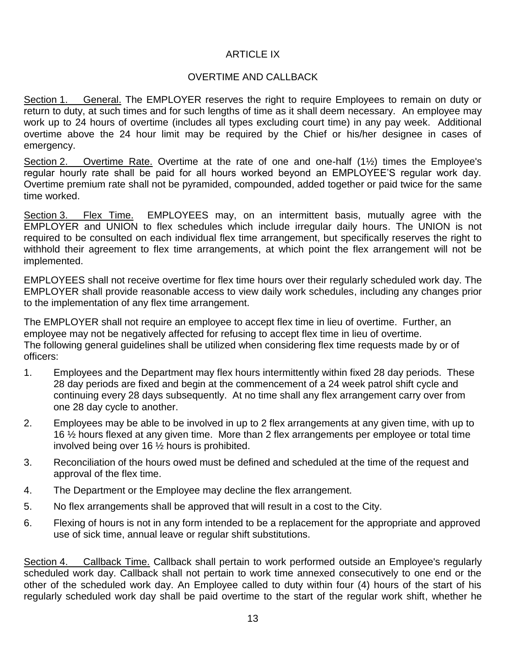# ARTICLE IX

### OVERTIME AND CALLBACK

Section 1. General. The EMPLOYER reserves the right to require Employees to remain on duty or return to duty, at such times and for such lengths of time as it shall deem necessary. An employee may work up to 24 hours of overtime (includes all types excluding court time) in any pay week. Additional overtime above the 24 hour limit may be required by the Chief or his/her designee in cases of emergency.

Section 2. Overtime Rate. Overtime at the rate of one and one-half (1½) times the Employee's regular hourly rate shall be paid for all hours worked beyond an EMPLOYEE'S regular work day. Overtime premium rate shall not be pyramided, compounded, added together or paid twice for the same time worked.

Section 3. Flex Time. EMPLOYEES may, on an intermittent basis, mutually agree with the EMPLOYER and UNION to flex schedules which include irregular daily hours. The UNION is not required to be consulted on each individual flex time arrangement, but specifically reserves the right to withhold their agreement to flex time arrangements, at which point the flex arrangement will not be implemented.

EMPLOYEES shall not receive overtime for flex time hours over their regularly scheduled work day. The EMPLOYER shall provide reasonable access to view daily work schedules, including any changes prior to the implementation of any flex time arrangement.

The EMPLOYER shall not require an employee to accept flex time in lieu of overtime. Further, an employee may not be negatively affected for refusing to accept flex time in lieu of overtime. The following general guidelines shall be utilized when considering flex time requests made by or of officers:

- 1. Employees and the Department may flex hours intermittently within fixed 28 day periods. These 28 day periods are fixed and begin at the commencement of a 24 week patrol shift cycle and continuing every 28 days subsequently. At no time shall any flex arrangement carry over from one 28 day cycle to another.
- 2. Employees may be able to be involved in up to 2 flex arrangements at any given time, with up to 16 ½ hours flexed at any given time. More than 2 flex arrangements per employee or total time involved being over 16 ½ hours is prohibited.
- 3. Reconciliation of the hours owed must be defined and scheduled at the time of the request and approval of the flex time.
- 4. The Department or the Employee may decline the flex arrangement.
- 5. No flex arrangements shall be approved that will result in a cost to the City.
- 6. Flexing of hours is not in any form intended to be a replacement for the appropriate and approved use of sick time, annual leave or regular shift substitutions.

Section 4. Callback Time. Callback shall pertain to work performed outside an Employee's regularly scheduled work day. Callback shall not pertain to work time annexed consecutively to one end or the other of the scheduled work day. An Employee called to duty within four (4) hours of the start of his regularly scheduled work day shall be paid overtime to the start of the regular work shift, whether he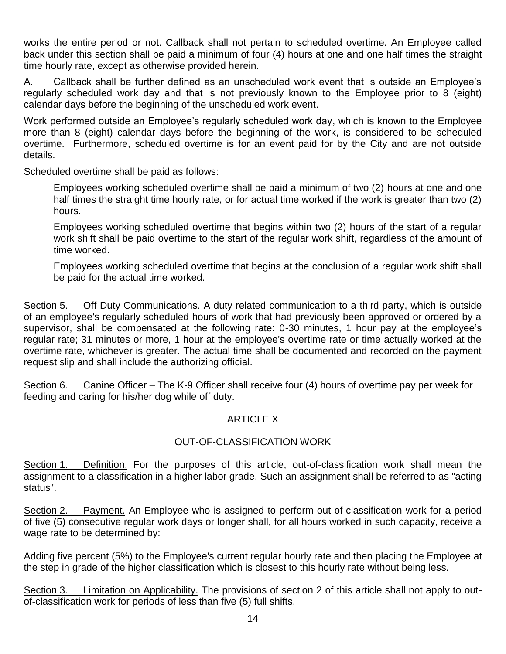works the entire period or not. Callback shall not pertain to scheduled overtime. An Employee called back under this section shall be paid a minimum of four (4) hours at one and one half times the straight time hourly rate, except as otherwise provided herein.

A. Callback shall be further defined as an unscheduled work event that is outside an Employee's regularly scheduled work day and that is not previously known to the Employee prior to 8 (eight) calendar days before the beginning of the unscheduled work event.

Work performed outside an Employee's regularly scheduled work day, which is known to the Employee more than 8 (eight) calendar days before the beginning of the work, is considered to be scheduled overtime. Furthermore, scheduled overtime is for an event paid for by the City and are not outside details.

Scheduled overtime shall be paid as follows:

Employees working scheduled overtime shall be paid a minimum of two (2) hours at one and one half times the straight time hourly rate, or for actual time worked if the work is greater than two (2) hours.

Employees working scheduled overtime that begins within two (2) hours of the start of a regular work shift shall be paid overtime to the start of the regular work shift, regardless of the amount of time worked.

Employees working scheduled overtime that begins at the conclusion of a regular work shift shall be paid for the actual time worked.

Section 5. Off Duty Communications. A duty related communication to a third party, which is outside of an employee's regularly scheduled hours of work that had previously been approved or ordered by a supervisor, shall be compensated at the following rate: 0-30 minutes, 1 hour pay at the employee's regular rate; 31 minutes or more, 1 hour at the employee's overtime rate or time actually worked at the overtime rate, whichever is greater. The actual time shall be documented and recorded on the payment request slip and shall include the authorizing official.

Section 6. Canine Officer – The K-9 Officer shall receive four (4) hours of overtime pay per week for feeding and caring for his/her dog while off duty.

# **ARTICLE X**

# OUT-OF-CLASSIFICATION WORK

Section 1. Definition. For the purposes of this article, out-of-classification work shall mean the assignment to a classification in a higher labor grade. Such an assignment shall be referred to as "acting status".

Section 2. Payment. An Employee who is assigned to perform out-of-classification work for a period of five (5) consecutive regular work days or longer shall, for all hours worked in such capacity, receive a wage rate to be determined by:

Adding five percent (5%) to the Employee's current regular hourly rate and then placing the Employee at the step in grade of the higher classification which is closest to this hourly rate without being less.

Section 3. Limitation on Applicability. The provisions of section 2 of this article shall not apply to outof-classification work for periods of less than five (5) full shifts.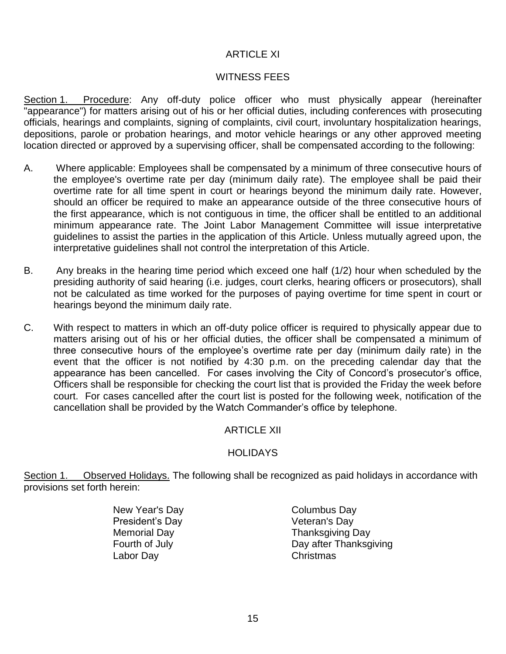#### ARTICLE XI

# WITNESS FEES

Section 1. Procedure: Any off-duty police officer who must physically appear (hereinafter "appearance") for matters arising out of his or her official duties, including conferences with prosecuting officials, hearings and complaints, signing of complaints, civil court, involuntary hospitalization hearings, depositions, parole or probation hearings, and motor vehicle hearings or any other approved meeting location directed or approved by a supervising officer, shall be compensated according to the following:

- A. Where applicable: Employees shall be compensated by a minimum of three consecutive hours of the employee's overtime rate per day (minimum daily rate). The employee shall be paid their overtime rate for all time spent in court or hearings beyond the minimum daily rate. However, should an officer be required to make an appearance outside of the three consecutive hours of the first appearance, which is not contiguous in time, the officer shall be entitled to an additional minimum appearance rate. The Joint Labor Management Committee will issue interpretative guidelines to assist the parties in the application of this Article. Unless mutually agreed upon, the interpretative guidelines shall not control the interpretation of this Article.
- B. Any breaks in the hearing time period which exceed one half (1/2) hour when scheduled by the presiding authority of said hearing (i.e. judges, court clerks, hearing officers or prosecutors), shall not be calculated as time worked for the purposes of paying overtime for time spent in court or hearings beyond the minimum daily rate.
- C. With respect to matters in which an off-duty police officer is required to physically appear due to matters arising out of his or her official duties, the officer shall be compensated a minimum of three consecutive hours of the employee's overtime rate per day (minimum daily rate) in the event that the officer is not notified by 4:30 p.m. on the preceding calendar day that the appearance has been cancelled. For cases involving the City of Concord's prosecutor's office, Officers shall be responsible for checking the court list that is provided the Friday the week before court. For cases cancelled after the court list is posted for the following week, notification of the cancellation shall be provided by the Watch Commander's office by telephone.

# ARTICLE XII

#### **HOLIDAYS**

Section 1. Observed Holidays. The following shall be recognized as paid holidays in accordance with provisions set forth herein:

> New Year's Day **Columbus Day** President's Day **Veteran's Day** Labor Day Christmas

Memorial Day **Thanksgiving Day** Fourth of July **Day after Thanksgiving**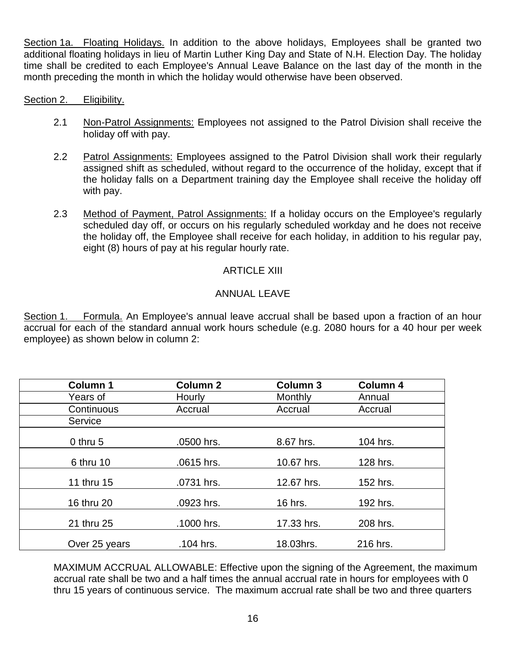Section 1a. Floating Holidays. In addition to the above holidays, Employees shall be granted two additional floating holidays in lieu of Martin Luther King Day and State of N.H. Election Day. The holiday time shall be credited to each Employee's Annual Leave Balance on the last day of the month in the month preceding the month in which the holiday would otherwise have been observed.

#### Section 2. Eligibility.

- 2.1 Non-Patrol Assignments: Employees not assigned to the Patrol Division shall receive the holiday off with pay.
- 2.2 Patrol Assignments: Employees assigned to the Patrol Division shall work their regularly assigned shift as scheduled, without regard to the occurrence of the holiday, except that if the holiday falls on a Department training day the Employee shall receive the holiday off with pay.
- 2.3 Method of Payment, Patrol Assignments: If a holiday occurs on the Employee's regularly scheduled day off, or occurs on his regularly scheduled workday and he does not receive the holiday off, the Employee shall receive for each holiday, in addition to his regular pay, eight (8) hours of pay at his regular hourly rate.

#### ARTICLE XIII

#### ANNUAL LEAVE

Section 1. Formula. An Employee's annual leave accrual shall be based upon a fraction of an hour accrual for each of the standard annual work hours schedule (e.g. 2080 hours for a 40 hour per week employee) as shown below in column 2:

| <b>Column 1</b> | <b>Column 2</b> | <b>Column 3</b> | <b>Column 4</b> |
|-----------------|-----------------|-----------------|-----------------|
| Years of        | Hourly          | Monthly         | Annual          |
| Continuous      | Accrual         | Accrual         | Accrual         |
| Service         |                 |                 |                 |
| $0$ thru 5      | .0500 hrs.      | 8.67 hrs.       | 104 hrs.        |
| 6 thru 10       | .0615 hrs.      | 10.67 hrs.      | 128 hrs.        |
| 11 thru 15      | .0731 hrs.      | 12.67 hrs.      | 152 hrs.        |
| 16 thru 20      | .0923 hrs.      | 16 hrs.         | 192 hrs.        |
| 21 thru 25      | .1000 hrs.      | 17.33 hrs.      | 208 hrs.        |
| Over 25 years   | .104 hrs.       | 18.03hrs.       | 216 hrs.        |

MAXIMUM ACCRUAL ALLOWABLE: Effective upon the signing of the Agreement, the maximum accrual rate shall be two and a half times the annual accrual rate in hours for employees with 0 thru 15 years of continuous service. The maximum accrual rate shall be two and three quarters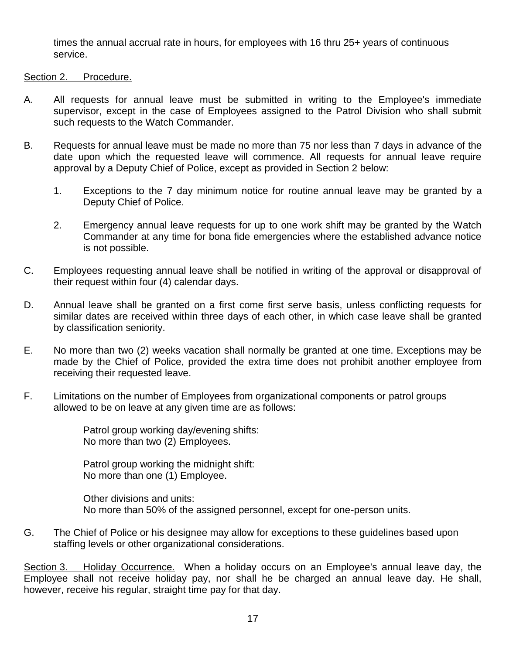times the annual accrual rate in hours, for employees with 16 thru 25+ years of continuous service.

#### Section 2. Procedure.

- A. All requests for annual leave must be submitted in writing to the Employee's immediate supervisor, except in the case of Employees assigned to the Patrol Division who shall submit such requests to the Watch Commander.
- B. Requests for annual leave must be made no more than 75 nor less than 7 days in advance of the date upon which the requested leave will commence. All requests for annual leave require approval by a Deputy Chief of Police, except as provided in Section 2 below:
	- 1. Exceptions to the 7 day minimum notice for routine annual leave may be granted by a Deputy Chief of Police.
	- 2. Emergency annual leave requests for up to one work shift may be granted by the Watch Commander at any time for bona fide emergencies where the established advance notice is not possible.
- C. Employees requesting annual leave shall be notified in writing of the approval or disapproval of their request within four (4) calendar days.
- D. Annual leave shall be granted on a first come first serve basis, unless conflicting requests for similar dates are received within three days of each other, in which case leave shall be granted by classification seniority.
- E. No more than two (2) weeks vacation shall normally be granted at one time. Exceptions may be made by the Chief of Police, provided the extra time does not prohibit another employee from receiving their requested leave.
- F. Limitations on the number of Employees from organizational components or patrol groups allowed to be on leave at any given time are as follows:

Patrol group working day/evening shifts: No more than two (2) Employees.

Patrol group working the midnight shift: No more than one (1) Employee.

Other divisions and units: No more than 50% of the assigned personnel, except for one-person units.

G. The Chief of Police or his designee may allow for exceptions to these guidelines based upon staffing levels or other organizational considerations.

Section 3. Holiday Occurrence. When a holiday occurs on an Employee's annual leave day, the Employee shall not receive holiday pay, nor shall he be charged an annual leave day. He shall, however, receive his regular, straight time pay for that day.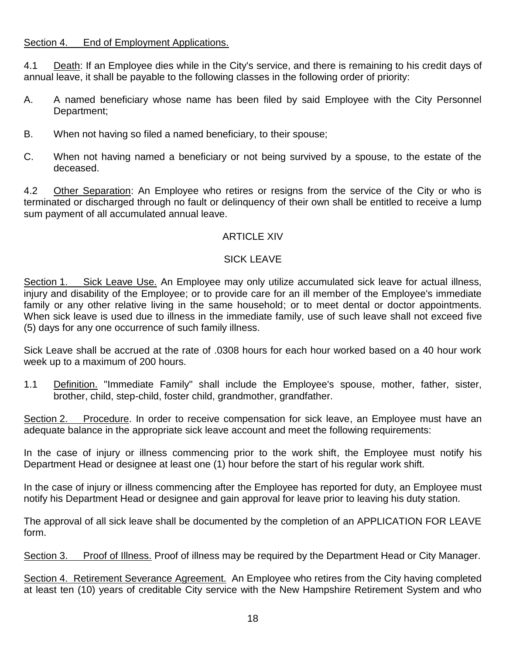#### Section 4. End of Employment Applications.

4.1 Death: If an Employee dies while in the City's service, and there is remaining to his credit days of annual leave, it shall be payable to the following classes in the following order of priority:

- A. A named beneficiary whose name has been filed by said Employee with the City Personnel Department;
- B. When not having so filed a named beneficiary, to their spouse;
- C. When not having named a beneficiary or not being survived by a spouse, to the estate of the deceased.

4.2 Other Separation: An Employee who retires or resigns from the service of the City or who is terminated or discharged through no fault or delinquency of their own shall be entitled to receive a lump sum payment of all accumulated annual leave.

# **ARTICLE XIV**

# SICK LEAVE

Section 1. Sick Leave Use. An Employee may only utilize accumulated sick leave for actual illness, injury and disability of the Employee; or to provide care for an ill member of the Employee's immediate family or any other relative living in the same household; or to meet dental or doctor appointments. When sick leave is used due to illness in the immediate family, use of such leave shall not exceed five (5) days for any one occurrence of such family illness.

Sick Leave shall be accrued at the rate of .0308 hours for each hour worked based on a 40 hour work week up to a maximum of 200 hours.

1.1 Definition. "Immediate Family" shall include the Employee's spouse, mother, father, sister, brother, child, step-child, foster child, grandmother, grandfather.

Section 2. Procedure. In order to receive compensation for sick leave, an Employee must have an adequate balance in the appropriate sick leave account and meet the following requirements:

In the case of injury or illness commencing prior to the work shift, the Employee must notify his Department Head or designee at least one (1) hour before the start of his regular work shift.

In the case of injury or illness commencing after the Employee has reported for duty, an Employee must notify his Department Head or designee and gain approval for leave prior to leaving his duty station.

The approval of all sick leave shall be documented by the completion of an APPLICATION FOR LEAVE form.

Section 3. Proof of Illness. Proof of illness may be required by the Department Head or City Manager.

Section 4. Retirement Severance Agreement. An Employee who retires from the City having completed at least ten (10) years of creditable City service with the New Hampshire Retirement System and who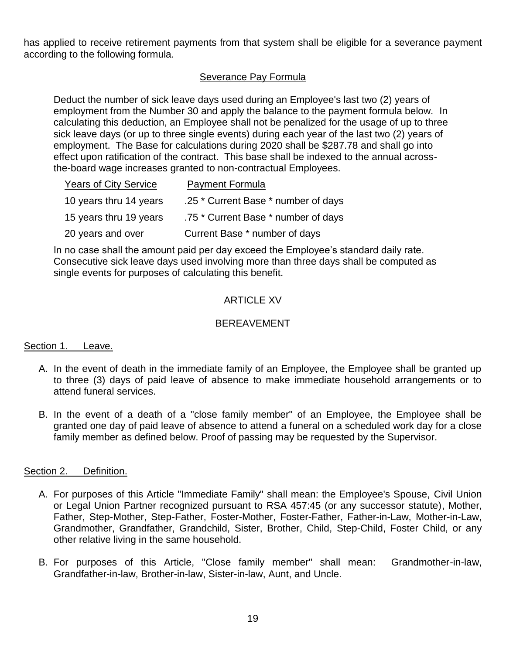has applied to receive retirement payments from that system shall be eligible for a severance payment according to the following formula.

# Severance Pay Formula

Deduct the number of sick leave days used during an Employee's last two (2) years of employment from the Number 30 and apply the balance to the payment formula below. In calculating this deduction, an Employee shall not be penalized for the usage of up to three sick leave days (or up to three single events) during each year of the last two (2) years of employment. The Base for calculations during 2020 shall be \$287.78 and shall go into effect upon ratification of the contract. This base shall be indexed to the annual acrossthe-board wage increases granted to non-contractual Employees.

| <b>Years of City Service</b> | <b>Payment Formula</b>              |
|------------------------------|-------------------------------------|
| 10 years thru 14 years       | .25 * Current Base * number of days |
| 15 years thru 19 years       | .75 * Current Base * number of days |
| 20 years and over            | Current Base * number of days       |

In no case shall the amount paid per day exceed the Employee's standard daily rate. Consecutive sick leave days used involving more than three days shall be computed as single events for purposes of calculating this benefit.

# ARTICLE XV

## **BEREAVEMENT**

#### Section 1. Leave.

- A. In the event of death in the immediate family of an Employee, the Employee shall be granted up to three (3) days of paid leave of absence to make immediate household arrangements or to attend funeral services.
- B. In the event of a death of a "close family member" of an Employee, the Employee shall be granted one day of paid leave of absence to attend a funeral on a scheduled work day for a close family member as defined below. Proof of passing may be requested by the Supervisor.

#### Section 2. Definition.

- A. For purposes of this Article "Immediate Family" shall mean: the Employee's Spouse, Civil Union or Legal Union Partner recognized pursuant to RSA 457:45 (or any successor statute), Mother, Father, Step-Mother, Step-Father, Foster-Mother, Foster-Father, Father-in-Law, Mother-in-Law, Grandmother, Grandfather, Grandchild, Sister, Brother, Child, Step-Child, Foster Child, or any other relative living in the same household.
- B. For purposes of this Article, "Close family member" shall mean: Grandmother-in-law, Grandfather-in-law, Brother-in-law, Sister-in-law, Aunt, and Uncle.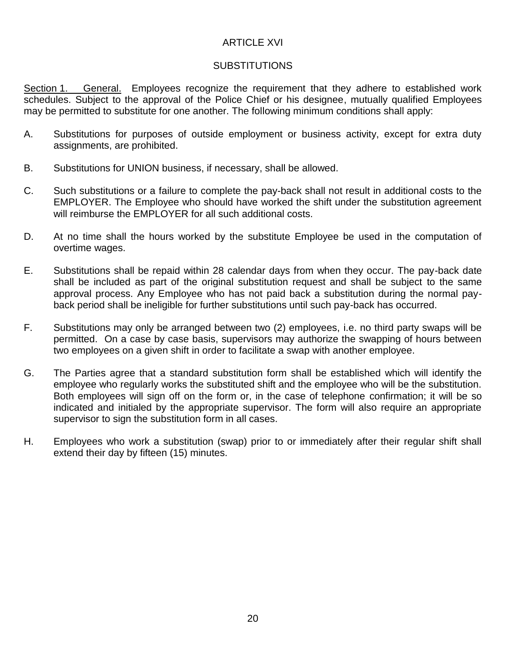# ARTICLE XVI

#### SUBSTITUTIONS

Section 1. General. Employees recognize the requirement that they adhere to established work schedules. Subject to the approval of the Police Chief or his designee, mutually qualified Employees may be permitted to substitute for one another. The following minimum conditions shall apply:

- A. Substitutions for purposes of outside employment or business activity, except for extra duty assignments, are prohibited.
- B. Substitutions for UNION business, if necessary, shall be allowed.
- C. Such substitutions or a failure to complete the pay-back shall not result in additional costs to the EMPLOYER. The Employee who should have worked the shift under the substitution agreement will reimburse the EMPLOYER for all such additional costs.
- D. At no time shall the hours worked by the substitute Employee be used in the computation of overtime wages.
- E. Substitutions shall be repaid within 28 calendar days from when they occur. The pay-back date shall be included as part of the original substitution request and shall be subject to the same approval process. Any Employee who has not paid back a substitution during the normal payback period shall be ineligible for further substitutions until such pay-back has occurred.
- F. Substitutions may only be arranged between two (2) employees, i.e. no third party swaps will be permitted. On a case by case basis, supervisors may authorize the swapping of hours between two employees on a given shift in order to facilitate a swap with another employee.
- G. The Parties agree that a standard substitution form shall be established which will identify the employee who regularly works the substituted shift and the employee who will be the substitution. Both employees will sign off on the form or, in the case of telephone confirmation; it will be so indicated and initialed by the appropriate supervisor. The form will also require an appropriate supervisor to sign the substitution form in all cases.
- H. Employees who work a substitution (swap) prior to or immediately after their regular shift shall extend their day by fifteen (15) minutes.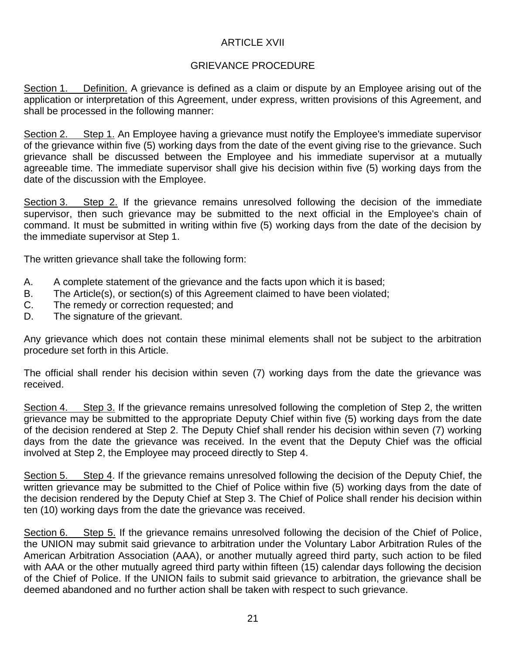# ARTICLE XVII

# GRIEVANCE PROCEDURE

Section 1. Definition. A grievance is defined as a claim or dispute by an Employee arising out of the application or interpretation of this Agreement, under express, written provisions of this Agreement, and shall be processed in the following manner:

Section 2. Step 1. An Employee having a grievance must notify the Employee's immediate supervisor of the grievance within five (5) working days from the date of the event giving rise to the grievance. Such grievance shall be discussed between the Employee and his immediate supervisor at a mutually agreeable time. The immediate supervisor shall give his decision within five (5) working days from the date of the discussion with the Employee.

Section 3. Step 2. If the grievance remains unresolved following the decision of the immediate supervisor, then such grievance may be submitted to the next official in the Employee's chain of command. It must be submitted in writing within five (5) working days from the date of the decision by the immediate supervisor at Step 1.

The written grievance shall take the following form:

- A. A complete statement of the grievance and the facts upon which it is based;
- B. The Article(s), or section(s) of this Agreement claimed to have been violated;
- C. The remedy or correction requested; and
- D. The signature of the grievant.

Any grievance which does not contain these minimal elements shall not be subject to the arbitration procedure set forth in this Article.

The official shall render his decision within seven (7) working days from the date the grievance was received.

Section 4. Step 3. If the grievance remains unresolved following the completion of Step 2, the written grievance may be submitted to the appropriate Deputy Chief within five (5) working days from the date of the decision rendered at Step 2. The Deputy Chief shall render his decision within seven (7) working days from the date the grievance was received. In the event that the Deputy Chief was the official involved at Step 2, the Employee may proceed directly to Step 4.

Section 5. Step 4. If the grievance remains unresolved following the decision of the Deputy Chief, the written grievance may be submitted to the Chief of Police within five (5) working days from the date of the decision rendered by the Deputy Chief at Step 3. The Chief of Police shall render his decision within ten (10) working days from the date the grievance was received.

Section 6. Step 5. If the grievance remains unresolved following the decision of the Chief of Police, the UNION may submit said grievance to arbitration under the Voluntary Labor Arbitration Rules of the American Arbitration Association (AAA), or another mutually agreed third party, such action to be filed with AAA or the other mutually agreed third party within fifteen (15) calendar days following the decision of the Chief of Police. If the UNION fails to submit said grievance to arbitration, the grievance shall be deemed abandoned and no further action shall be taken with respect to such grievance.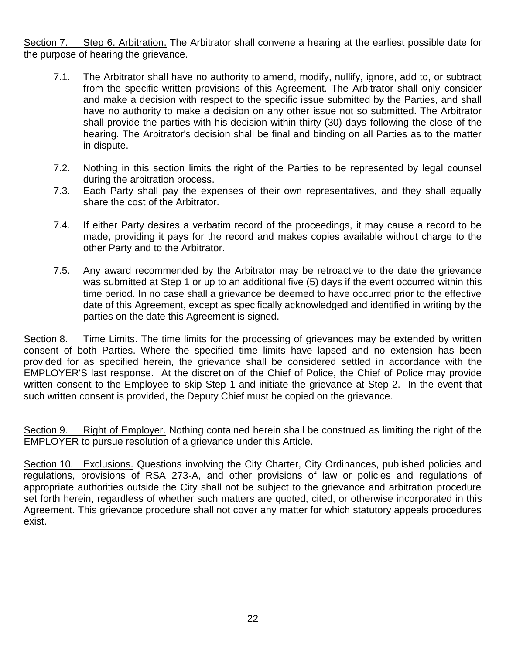Section 7. Step 6. Arbitration. The Arbitrator shall convene a hearing at the earliest possible date for the purpose of hearing the grievance.

- 7.1. The Arbitrator shall have no authority to amend, modify, nullify, ignore, add to, or subtract from the specific written provisions of this Agreement. The Arbitrator shall only consider and make a decision with respect to the specific issue submitted by the Parties, and shall have no authority to make a decision on any other issue not so submitted. The Arbitrator shall provide the parties with his decision within thirty (30) days following the close of the hearing. The Arbitrator's decision shall be final and binding on all Parties as to the matter in dispute.
- 7.2. Nothing in this section limits the right of the Parties to be represented by legal counsel during the arbitration process.
- 7.3. Each Party shall pay the expenses of their own representatives, and they shall equally share the cost of the Arbitrator.
- 7.4. If either Party desires a verbatim record of the proceedings, it may cause a record to be made, providing it pays for the record and makes copies available without charge to the other Party and to the Arbitrator.
- 7.5. Any award recommended by the Arbitrator may be retroactive to the date the grievance was submitted at Step 1 or up to an additional five (5) days if the event occurred within this time period. In no case shall a grievance be deemed to have occurred prior to the effective date of this Agreement, except as specifically acknowledged and identified in writing by the parties on the date this Agreement is signed.

Section 8. Time Limits. The time limits for the processing of grievances may be extended by written consent of both Parties. Where the specified time limits have lapsed and no extension has been provided for as specified herein, the grievance shall be considered settled in accordance with the EMPLOYER'S last response. At the discretion of the Chief of Police, the Chief of Police may provide written consent to the Employee to skip Step 1 and initiate the grievance at Step 2. In the event that such written consent is provided, the Deputy Chief must be copied on the grievance.

Section 9. Right of Employer. Nothing contained herein shall be construed as limiting the right of the EMPLOYER to pursue resolution of a grievance under this Article.

Section 10. Exclusions. Questions involving the City Charter, City Ordinances, published policies and regulations, provisions of RSA 273-A, and other provisions of law or policies and regulations of appropriate authorities outside the City shall not be subject to the grievance and arbitration procedure set forth herein, regardless of whether such matters are quoted, cited, or otherwise incorporated in this Agreement. This grievance procedure shall not cover any matter for which statutory appeals procedures exist.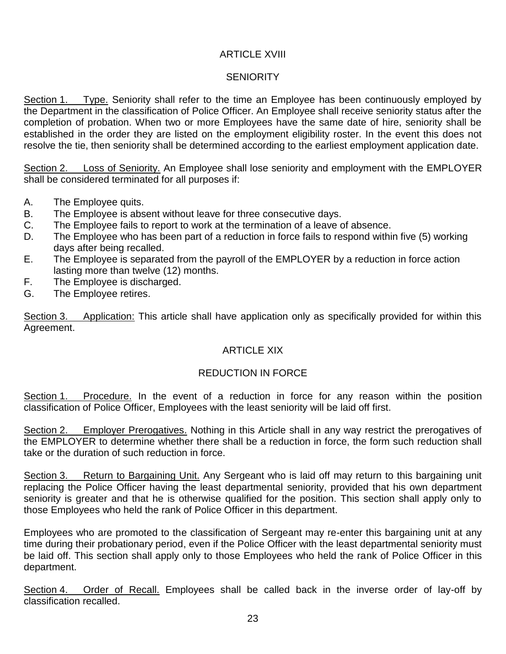# ARTICLE XVIII

# **SENIORITY**

Section 1. Type. Seniority shall refer to the time an Employee has been continuously employed by the Department in the classification of Police Officer. An Employee shall receive seniority status after the completion of probation. When two or more Employees have the same date of hire, seniority shall be established in the order they are listed on the employment eligibility roster. In the event this does not resolve the tie, then seniority shall be determined according to the earliest employment application date.

Section 2. Loss of Seniority. An Employee shall lose seniority and employment with the EMPLOYER shall be considered terminated for all purposes if:

- A. The Employee quits.
- B. The Employee is absent without leave for three consecutive days.
- C. The Employee fails to report to work at the termination of a leave of absence.
- D. The Employee who has been part of a reduction in force fails to respond within five (5) working days after being recalled.
- E. The Employee is separated from the payroll of the EMPLOYER by a reduction in force action lasting more than twelve (12) months.
- F. The Employee is discharged.
- G. The Employee retires.

Section 3. Application: This article shall have application only as specifically provided for within this Agreement.

#### ARTICLE XIX

# REDUCTION IN FORCE

Section 1. Procedure. In the event of a reduction in force for any reason within the position classification of Police Officer, Employees with the least seniority will be laid off first.

Section 2. Employer Prerogatives. Nothing in this Article shall in any way restrict the prerogatives of the EMPLOYER to determine whether there shall be a reduction in force, the form such reduction shall take or the duration of such reduction in force.

Section 3. Return to Bargaining Unit. Any Sergeant who is laid off may return to this bargaining unit replacing the Police Officer having the least departmental seniority, provided that his own department seniority is greater and that he is otherwise qualified for the position. This section shall apply only to those Employees who held the rank of Police Officer in this department.

Employees who are promoted to the classification of Sergeant may re-enter this bargaining unit at any time during their probationary period, even if the Police Officer with the least departmental seniority must be laid off. This section shall apply only to those Employees who held the rank of Police Officer in this department.

Section 4. Order of Recall. Employees shall be called back in the inverse order of lay-off by classification recalled.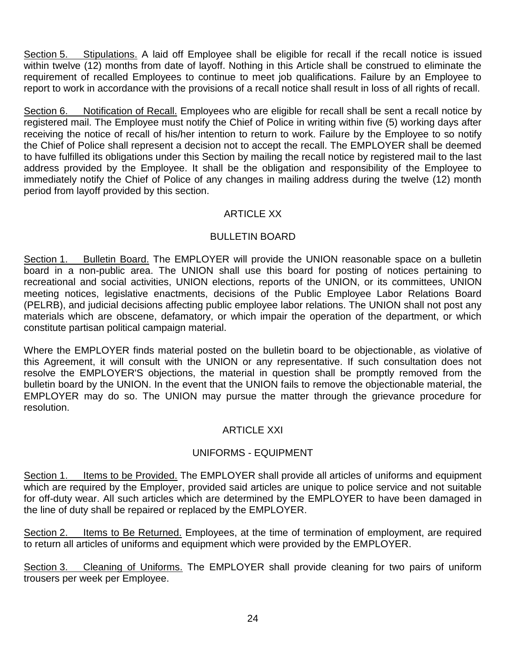Section 5. Stipulations. A laid off Employee shall be eligible for recall if the recall notice is issued within twelve (12) months from date of layoff. Nothing in this Article shall be construed to eliminate the requirement of recalled Employees to continue to meet job qualifications. Failure by an Employee to report to work in accordance with the provisions of a recall notice shall result in loss of all rights of recall.

Section 6. Notification of Recall. Employees who are eligible for recall shall be sent a recall notice by registered mail. The Employee must notify the Chief of Police in writing within five (5) working days after receiving the notice of recall of his/her intention to return to work. Failure by the Employee to so notify the Chief of Police shall represent a decision not to accept the recall. The EMPLOYER shall be deemed to have fulfilled its obligations under this Section by mailing the recall notice by registered mail to the last address provided by the Employee. It shall be the obligation and responsibility of the Employee to immediately notify the Chief of Police of any changes in mailing address during the twelve (12) month period from layoff provided by this section.

# ARTICLE XX

## BULLETIN BOARD

Section 1. Bulletin Board. The EMPLOYER will provide the UNION reasonable space on a bulletin board in a non-public area. The UNION shall use this board for posting of notices pertaining to recreational and social activities, UNION elections, reports of the UNION, or its committees, UNION meeting notices, legislative enactments, decisions of the Public Employee Labor Relations Board (PELRB), and judicial decisions affecting public employee labor relations. The UNION shall not post any materials which are obscene, defamatory, or which impair the operation of the department, or which constitute partisan political campaign material.

Where the EMPLOYER finds material posted on the bulletin board to be objectionable, as violative of this Agreement, it will consult with the UNION or any representative. If such consultation does not resolve the EMPLOYER'S objections, the material in question shall be promptly removed from the bulletin board by the UNION. In the event that the UNION fails to remove the objectionable material, the EMPLOYER may do so. The UNION may pursue the matter through the grievance procedure for resolution.

# ARTICLE XXI

# UNIFORMS - EQUIPMENT

Section 1. Items to be Provided. The EMPLOYER shall provide all articles of uniforms and equipment which are required by the Employer, provided said articles are unique to police service and not suitable for off-duty wear. All such articles which are determined by the EMPLOYER to have been damaged in the line of duty shall be repaired or replaced by the EMPLOYER.

Section 2. Items to Be Returned. Employees, at the time of termination of employment, are required to return all articles of uniforms and equipment which were provided by the EMPLOYER.

Section 3. Cleaning of Uniforms. The EMPLOYER shall provide cleaning for two pairs of uniform trousers per week per Employee.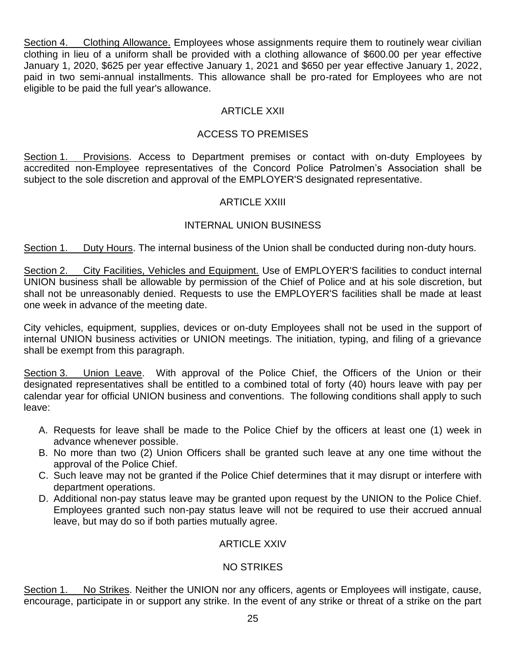Section 4. Clothing Allowance. Employees whose assignments require them to routinely wear civilian clothing in lieu of a uniform shall be provided with a clothing allowance of \$600.00 per year effective January 1, 2020, \$625 per year effective January 1, 2021 and \$650 per year effective January 1, 2022, paid in two semi-annual installments. This allowance shall be pro-rated for Employees who are not eligible to be paid the full year's allowance.

# ARTICLE XXII

# ACCESS TO PREMISES

Section 1. Provisions. Access to Department premises or contact with on-duty Employees by accredited non-Employee representatives of the Concord Police Patrolmen's Association shall be subject to the sole discretion and approval of the EMPLOYER'S designated representative.

## ARTICLE XXIII

## INTERNAL UNION BUSINESS

Section 1. Duty Hours. The internal business of the Union shall be conducted during non-duty hours.

Section 2. City Facilities, Vehicles and Equipment. Use of EMPLOYER'S facilities to conduct internal UNION business shall be allowable by permission of the Chief of Police and at his sole discretion, but shall not be unreasonably denied. Requests to use the EMPLOYER'S facilities shall be made at least one week in advance of the meeting date.

City vehicles, equipment, supplies, devices or on-duty Employees shall not be used in the support of internal UNION business activities or UNION meetings. The initiation, typing, and filing of a grievance shall be exempt from this paragraph.

Section 3. Union Leave. With approval of the Police Chief, the Officers of the Union or their designated representatives shall be entitled to a combined total of forty (40) hours leave with pay per calendar year for official UNION business and conventions. The following conditions shall apply to such leave:

- A. Requests for leave shall be made to the Police Chief by the officers at least one (1) week in advance whenever possible.
- B. No more than two (2) Union Officers shall be granted such leave at any one time without the approval of the Police Chief.
- C. Such leave may not be granted if the Police Chief determines that it may disrupt or interfere with department operations.
- D. Additional non-pay status leave may be granted upon request by the UNION to the Police Chief. Employees granted such non-pay status leave will not be required to use their accrued annual leave, but may do so if both parties mutually agree.

#### ARTICLE XXIV

# NO STRIKES

Section 1. No Strikes. Neither the UNION nor any officers, agents or Employees will instigate, cause, encourage, participate in or support any strike. In the event of any strike or threat of a strike on the part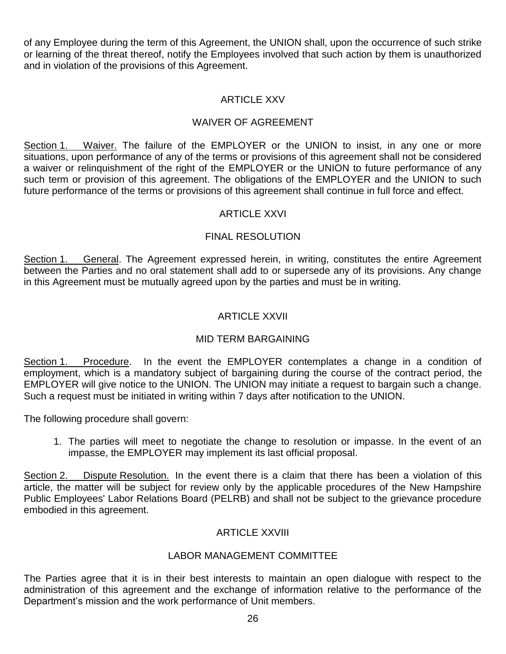of any Employee during the term of this Agreement, the UNION shall, upon the occurrence of such strike or learning of the threat thereof, notify the Employees involved that such action by them is unauthorized and in violation of the provisions of this Agreement.

# ARTICLE XXV

# WAIVER OF AGREEMENT

Section 1. Waiver. The failure of the EMPLOYER or the UNION to insist, in any one or more situations, upon performance of any of the terms or provisions of this agreement shall not be considered a waiver or relinquishment of the right of the EMPLOYER or the UNION to future performance of any such term or provision of this agreement. The obligations of the EMPLOYER and the UNION to such future performance of the terms or provisions of this agreement shall continue in full force and effect.

#### ARTICLE XXVI

## FINAL RESOLUTION

Section 1. General. The Agreement expressed herein, in writing, constitutes the entire Agreement between the Parties and no oral statement shall add to or supersede any of its provisions. Any change in this Agreement must be mutually agreed upon by the parties and must be in writing.

# ARTICLE XXVII

#### MID TERM BARGAINING

Section 1. Procedure. In the event the EMPLOYER contemplates a change in a condition of employment, which is a mandatory subject of bargaining during the course of the contract period, the EMPLOYER will give notice to the UNION. The UNION may initiate a request to bargain such a change. Such a request must be initiated in writing within 7 days after notification to the UNION.

The following procedure shall govern:

1. The parties will meet to negotiate the change to resolution or impasse. In the event of an impasse, the EMPLOYER may implement its last official proposal.

Section 2. Dispute Resolution. In the event there is a claim that there has been a violation of this article, the matter will be subject for review only by the applicable procedures of the New Hampshire Public Employees' Labor Relations Board (PELRB) and shall not be subject to the grievance procedure embodied in this agreement.

# ARTICLE XXVIII

#### LABOR MANAGEMENT COMMITTEE

The Parties agree that it is in their best interests to maintain an open dialogue with respect to the administration of this agreement and the exchange of information relative to the performance of the Department's mission and the work performance of Unit members.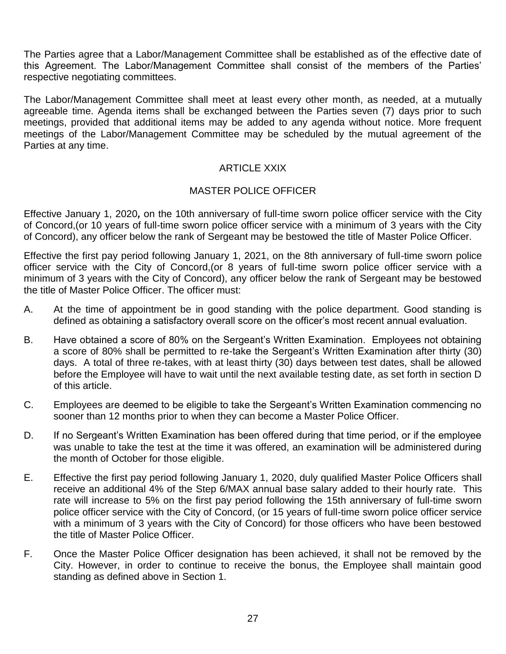The Parties agree that a Labor/Management Committee shall be established as of the effective date of this Agreement. The Labor/Management Committee shall consist of the members of the Parties' respective negotiating committees.

The Labor/Management Committee shall meet at least every other month, as needed, at a mutually agreeable time. Agenda items shall be exchanged between the Parties seven (7) days prior to such meetings, provided that additional items may be added to any agenda without notice. More frequent meetings of the Labor/Management Committee may be scheduled by the mutual agreement of the Parties at any time.

# ARTICLE XXIX

#### MASTER POLICE OFFICER

Effective January 1, 2020*,* on the 10th anniversary of full-time sworn police officer service with the City of Concord,(or 10 years of full-time sworn police officer service with a minimum of 3 years with the City of Concord), any officer below the rank of Sergeant may be bestowed the title of Master Police Officer.

Effective the first pay period following January 1, 2021, on the 8th anniversary of full-time sworn police officer service with the City of Concord,(or 8 years of full-time sworn police officer service with a minimum of 3 years with the City of Concord), any officer below the rank of Sergeant may be bestowed the title of Master Police Officer. The officer must:

- A. At the time of appointment be in good standing with the police department. Good standing is defined as obtaining a satisfactory overall score on the officer's most recent annual evaluation.
- B. Have obtained a score of 80% on the Sergeant's Written Examination. Employees not obtaining a score of 80% shall be permitted to re-take the Sergeant's Written Examination after thirty (30) days. A total of three re-takes, with at least thirty (30) days between test dates, shall be allowed before the Employee will have to wait until the next available testing date, as set forth in section D of this article.
- C. Employees are deemed to be eligible to take the Sergeant's Written Examination commencing no sooner than 12 months prior to when they can become a Master Police Officer.
- D. If no Sergeant's Written Examination has been offered during that time period, or if the employee was unable to take the test at the time it was offered, an examination will be administered during the month of October for those eligible.
- E. Effective the first pay period following January 1, 2020, duly qualified Master Police Officers shall receive an additional 4% of the Step 6/MAX annual base salary added to their hourly rate. This rate will increase to 5% on the first pay period following the 15th anniversary of full-time sworn police officer service with the City of Concord, (or 15 years of full-time sworn police officer service with a minimum of 3 years with the City of Concord) for those officers who have been bestowed the title of Master Police Officer.
- F. Once the Master Police Officer designation has been achieved, it shall not be removed by the City. However, in order to continue to receive the bonus, the Employee shall maintain good standing as defined above in Section 1.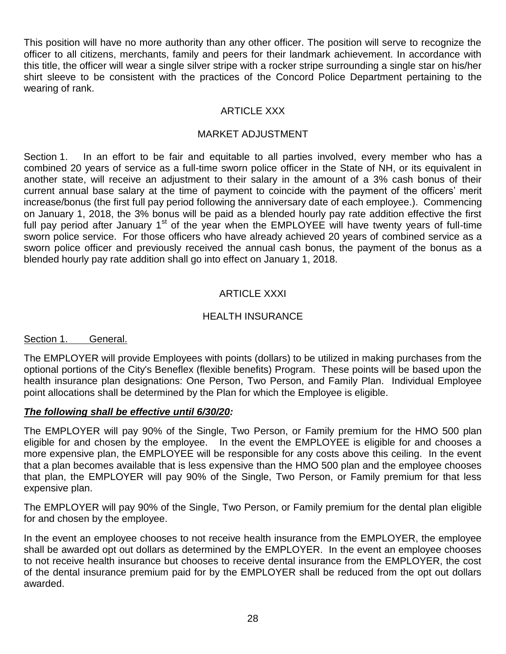This position will have no more authority than any other officer. The position will serve to recognize the officer to all citizens, merchants, family and peers for their landmark achievement. In accordance with this title, the officer will wear a single silver stripe with a rocker stripe surrounding a single star on his/her shirt sleeve to be consistent with the practices of the Concord Police Department pertaining to the wearing of rank.

## ARTICLE XXX

#### MARKET ADJUSTMENT

Section 1. In an effort to be fair and equitable to all parties involved, every member who has a combined 20 years of service as a full-time sworn police officer in the State of NH, or its equivalent in another state, will receive an adjustment to their salary in the amount of a 3% cash bonus of their current annual base salary at the time of payment to coincide with the payment of the officers' merit increase/bonus (the first full pay period following the anniversary date of each employee.). Commencing on January 1, 2018, the 3% bonus will be paid as a blended hourly pay rate addition effective the first full pay period after January  $1<sup>st</sup>$  of the year when the EMPLOYEE will have twenty years of full-time sworn police service. For those officers who have already achieved 20 years of combined service as a sworn police officer and previously received the annual cash bonus, the payment of the bonus as a blended hourly pay rate addition shall go into effect on January 1, 2018.

# ARTICLE XXXI

## HEALTH INSURANCE

#### Section 1. General.

The EMPLOYER will provide Employees with points (dollars) to be utilized in making purchases from the optional portions of the City's Beneflex (flexible benefits) Program. These points will be based upon the health insurance plan designations: One Person, Two Person, and Family Plan. Individual Employee point allocations shall be determined by the Plan for which the Employee is eligible.

#### *The following shall be effective until 6/30/20:*

The EMPLOYER will pay 90% of the Single, Two Person, or Family premium for the HMO 500 plan eligible for and chosen by the employee. In the event the EMPLOYEE is eligible for and chooses a more expensive plan, the EMPLOYEE will be responsible for any costs above this ceiling. In the event that a plan becomes available that is less expensive than the HMO 500 plan and the employee chooses that plan, the EMPLOYER will pay 90% of the Single, Two Person, or Family premium for that less expensive plan.

The EMPLOYER will pay 90% of the Single, Two Person, or Family premium for the dental plan eligible for and chosen by the employee.

In the event an employee chooses to not receive health insurance from the EMPLOYER, the employee shall be awarded opt out dollars as determined by the EMPLOYER. In the event an employee chooses to not receive health insurance but chooses to receive dental insurance from the EMPLOYER, the cost of the dental insurance premium paid for by the EMPLOYER shall be reduced from the opt out dollars awarded.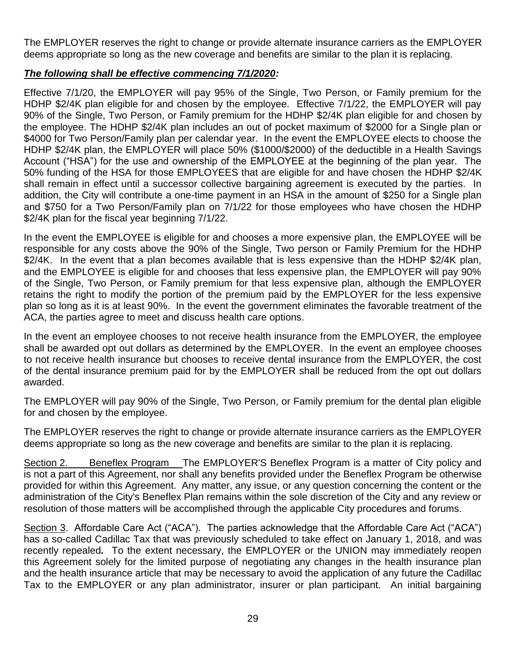The EMPLOYER reserves the right to change or provide alternate insurance carriers as the EMPLOYER deems appropriate so long as the new coverage and benefits are similar to the plan it is replacing.

# *The following shall be effective commencing 7/1/2020:*

Effective 7/1/20, the EMPLOYER will pay 95% of the Single, Two Person, or Family premium for the HDHP \$2/4K plan eligible for and chosen by the employee. Effective 7/1/22, the EMPLOYER will pay 90% of the Single, Two Person, or Family premium for the HDHP \$2/4K plan eligible for and chosen by the employee. The HDHP \$2/4K plan includes an out of pocket maximum of \$2000 for a Single plan or \$4000 for Two Person/Family plan per calendar year. In the event the EMPLOYEE elects to choose the HDHP \$2/4K plan, the EMPLOYER will place 50% (\$1000/\$2000) of the deductible in a Health Savings Account ("HSA") for the use and ownership of the EMPLOYEE at the beginning of the plan year. The 50% funding of the HSA for those EMPLOYEES that are eligible for and have chosen the HDHP \$2/4K shall remain in effect until a successor collective bargaining agreement is executed by the parties. In addition, the City will contribute a one-time payment in an HSA in the amount of \$250 for a Single plan and \$750 for a Two Person/Family plan on 7/1/22 for those employees who have chosen the HDHP \$2/4K plan for the fiscal year beginning 7/1/22.

In the event the EMPLOYEE is eligible for and chooses a more expensive plan, the EMPLOYEE will be responsible for any costs above the 90% of the Single, Two person or Family Premium for the HDHP \$2/4K. In the event that a plan becomes available that is less expensive than the HDHP \$2/4K plan, and the EMPLOYEE is eligible for and chooses that less expensive plan, the EMPLOYER will pay 90% of the Single, Two Person, or Family premium for that less expensive plan, although the EMPLOYER retains the right to modify the portion of the premium paid by the EMPLOYER for the less expensive plan so long as it is at least 90%. In the event the government eliminates the favorable treatment of the ACA, the parties agree to meet and discuss health care options.

In the event an employee chooses to not receive health insurance from the EMPLOYER, the employee shall be awarded opt out dollars as determined by the EMPLOYER. In the event an employee chooses to not receive health insurance but chooses to receive dental insurance from the EMPLOYER, the cost of the dental insurance premium paid for by the EMPLOYER shall be reduced from the opt out dollars awarded.

The EMPLOYER will pay 90% of the Single, Two Person, or Family premium for the dental plan eligible for and chosen by the employee.

The EMPLOYER reserves the right to change or provide alternate insurance carriers as the EMPLOYER deems appropriate so long as the new coverage and benefits are similar to the plan it is replacing.

Section 2. Beneflex Program The EMPLOYER'S Beneflex Program is a matter of City policy and is not a part of this Agreement, nor shall any benefits provided under the Beneflex Program be otherwise provided for within this Agreement. Any matter, any issue, or any question concerning the content or the administration of the City's Beneflex Plan remains within the sole discretion of the City and any review or resolution of those matters will be accomplished through the applicable City procedures and forums.

Section 3. Affordable Care Act ("ACA"). The parties acknowledge that the Affordable Care Act ("ACA") has a so-called Cadillac Tax that was previously scheduled to take effect on January 1, 2018, and was recently repealed*.* To the extent necessary, the EMPLOYER or the UNION may immediately reopen this Agreement solely for the limited purpose of negotiating any changes in the health insurance plan and the health insurance article that may be necessary to avoid the application of any future the Cadillac Tax to the EMPLOYER or any plan administrator, insurer or plan participant. An initial bargaining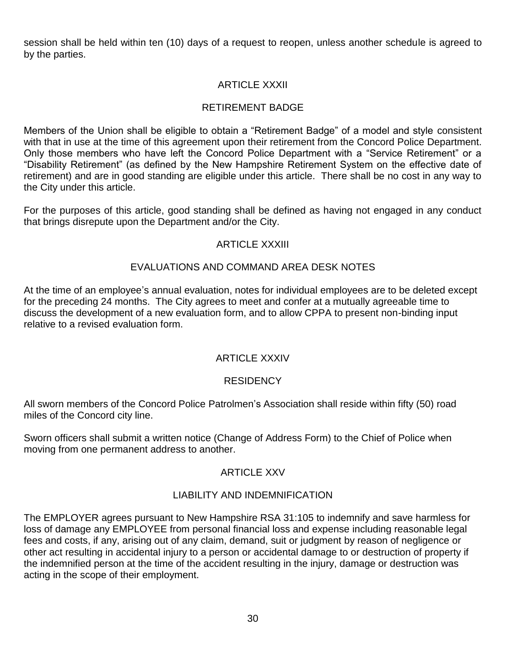session shall be held within ten (10) days of a request to reopen, unless another schedule is agreed to by the parties.

# ARTICLE XXXII

## RETIREMENT BADGE

Members of the Union shall be eligible to obtain a "Retirement Badge" of a model and style consistent with that in use at the time of this agreement upon their retirement from the Concord Police Department. Only those members who have left the Concord Police Department with a "Service Retirement" or a "Disability Retirement" (as defined by the New Hampshire Retirement System on the effective date of retirement) and are in good standing are eligible under this article. There shall be no cost in any way to the City under this article.

For the purposes of this article, good standing shall be defined as having not engaged in any conduct that brings disrepute upon the Department and/or the City.

#### ARTICLE XXXIII

## EVALUATIONS AND COMMAND AREA DESK NOTES

At the time of an employee's annual evaluation, notes for individual employees are to be deleted except for the preceding 24 months. The City agrees to meet and confer at a mutually agreeable time to discuss the development of a new evaluation form, and to allow CPPA to present non-binding input relative to a revised evaluation form.

#### ARTICLE XXXIV

#### **RESIDENCY**

All sworn members of the Concord Police Patrolmen's Association shall reside within fifty (50) road miles of the Concord city line.

Sworn officers shall submit a written notice (Change of Address Form) to the Chief of Police when moving from one permanent address to another.

#### ARTICLE XXV

#### LIABILITY AND INDEMNIFICATION

The EMPLOYER agrees pursuant to New Hampshire RSA 31:105 to indemnify and save harmless for loss of damage any EMPLOYEE from personal financial loss and expense including reasonable legal fees and costs, if any, arising out of any claim, demand, suit or judgment by reason of negligence or other act resulting in accidental injury to a person or accidental damage to or destruction of property if the indemnified person at the time of the accident resulting in the injury, damage or destruction was acting in the scope of their employment.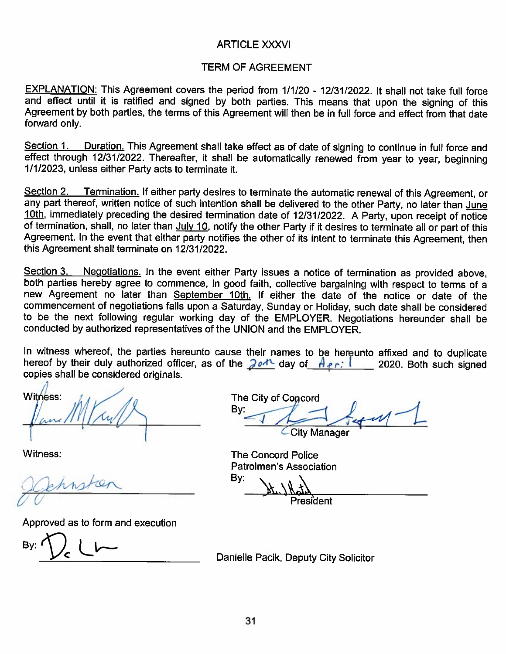### **ARTICLE XXXVI**

#### **TERM OF AGREEMENT**

EXPLANATION: This Agreement covers the period from 1/1/20 - 12/31/2022. It shall not take full force and effect until it is ratified and signed by both parties. This means that upon the signing of this Agreement by both parties, the terms of this Agreement will then be in full force and effect from that date forward only.

Duration. This Agreement shall take effect as of date of signing to continue in full force and Section 1. effect through 12/31/2022. Thereafter, it shall be automatically renewed from year to year, beginning 1/1/2023, unless either Party acts to terminate it.

Section 2. Termination. If either party desires to terminate the automatic renewal of this Agreement, or any part thereof, written notice of such intention shall be delivered to the other Party, no later than June 10th, immediately preceding the desired termination date of 12/31/2022. A Party, upon receipt of notice of termination, shall, no later than July 10, notify the other Party if it desires to terminate all or part of this Agreement. In the event that either party notifies the other of its intent to terminate this Agreement, then this Agreement shall terminate on 12/31/2022.

Negotiations. In the event either Party issues a notice of termination as provided above, Section 3. both parties hereby agree to commence, in good faith, collective bargaining with respect to terms of a new Agreement no later than September 10th. If either the date of the notice or date of the commencement of negotiations falls upon a Saturday, Sunday or Holiday, such date shall be considered to be the next following regular working day of the EMPLOYER. Negotiations hereunder shall be conducted by authorized representatives of the UNION and the EMPLOYER.

In witness whereof, the parties hereunto cause their names to be hereunto affixed and to duplicate hereof by their duly authorized officer, as of the  $20A$  day of  $A_{1}$ :  $1$  2020. Both such signed copies shall be considered originals.

Witness:

Witness:

Approved as to form and execution

The City of Concord By: **City Manager** 

**The Concord Police** Patrolmen's Association

By:

President

Danielle Pacik, Deputy City Solicitor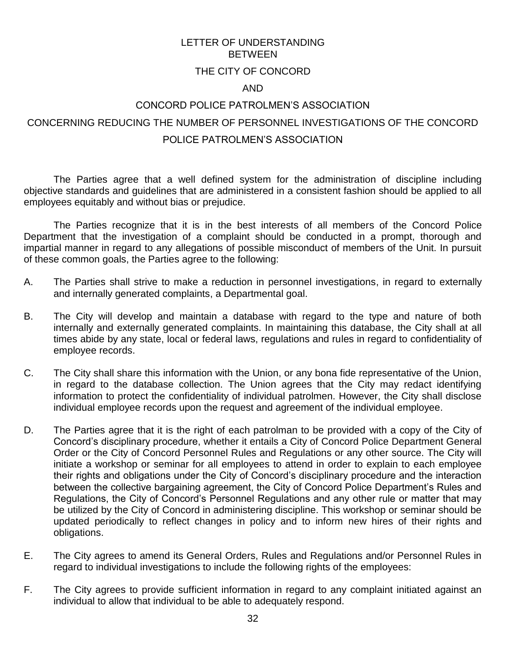# LETTER OF UNDERSTANDING **BETWEEN**

## THE CITY OF CONCORD

#### AND

# CONCORD POLICE PATROLMEN'S ASSOCIATION CONCERNING REDUCING THE NUMBER OF PERSONNEL INVESTIGATIONS OF THE CONCORD POLICE PATROLMEN'S ASSOCIATION

The Parties agree that a well defined system for the administration of discipline including objective standards and guidelines that are administered in a consistent fashion should be applied to all employees equitably and without bias or prejudice.

The Parties recognize that it is in the best interests of all members of the Concord Police Department that the investigation of a complaint should be conducted in a prompt, thorough and impartial manner in regard to any allegations of possible misconduct of members of the Unit. In pursuit of these common goals, the Parties agree to the following:

- A. The Parties shall strive to make a reduction in personnel investigations, in regard to externally and internally generated complaints, a Departmental goal.
- B. The City will develop and maintain a database with regard to the type and nature of both internally and externally generated complaints. In maintaining this database, the City shall at all times abide by any state, local or federal laws, regulations and rules in regard to confidentiality of employee records.
- C. The City shall share this information with the Union, or any bona fide representative of the Union, in regard to the database collection. The Union agrees that the City may redact identifying information to protect the confidentiality of individual patrolmen. However, the City shall disclose individual employee records upon the request and agreement of the individual employee.
- D. The Parties agree that it is the right of each patrolman to be provided with a copy of the City of Concord's disciplinary procedure, whether it entails a City of Concord Police Department General Order or the City of Concord Personnel Rules and Regulations or any other source. The City will initiate a workshop or seminar for all employees to attend in order to explain to each employee their rights and obligations under the City of Concord's disciplinary procedure and the interaction between the collective bargaining agreement, the City of Concord Police Department's Rules and Regulations, the City of Concord's Personnel Regulations and any other rule or matter that may be utilized by the City of Concord in administering discipline. This workshop or seminar should be updated periodically to reflect changes in policy and to inform new hires of their rights and obligations.
- E. The City agrees to amend its General Orders, Rules and Regulations and/or Personnel Rules in regard to individual investigations to include the following rights of the employees:
- F. The City agrees to provide sufficient information in regard to any complaint initiated against an individual to allow that individual to be able to adequately respond.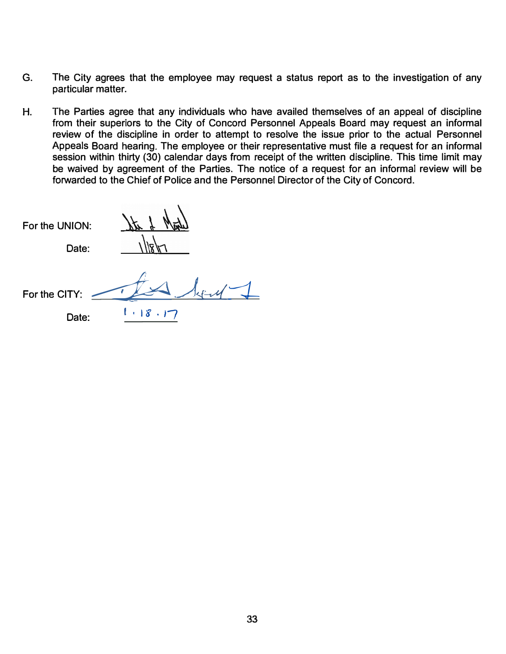- **G. The City agrees that the employee may request a status report as to the investigation of any particular matter.**
- **H. The Parties agree that any individuals who have availed themselves of an appeal of discipline from their superiors to the City of Concord Personnel Appeals Board may request an informal review of the discipline in order to attempt to resolve the issue prior to the actual Personnel Appeals Board hearing. The employee or their representative must file a request for an informal session within thirty (30) calendar days from receipt of the written discipline. This time limit may be waived by agreement of the Parties. The notice of a request for an informal review will be forwarded to the Chief of Police and the Personnel Director of the City of Concord.**

**For the UNION:** 

For the CITY:  $\frac{f}{\sqrt{2}}$ 

**Date: 1** . 18 . 17

Date: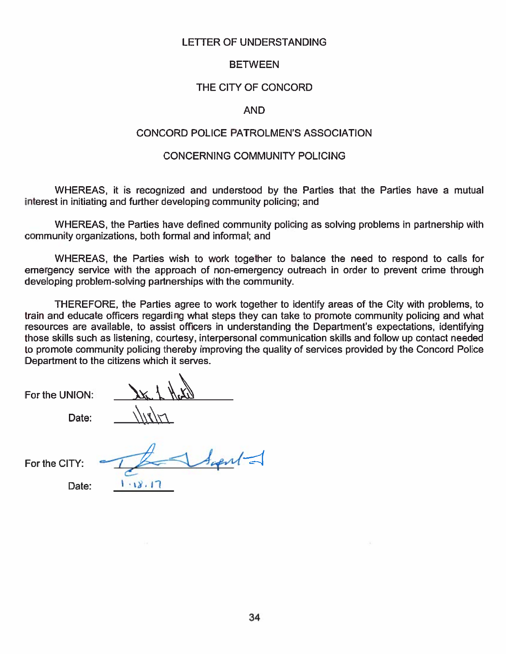#### **LETTER OF UNDERSTANDING**

#### **BETWEEN**

#### THE CITY OF CONCORD

#### **AND**

#### **CONCORD POLICE PATROLMEN'S ASSOCIATION**

#### **CONCERNING COMMUNITY POLICING**

WHEREAS, it is recognized and understood by the Parties that the Parties have a mutual interest in initiating and further developing community policing: and

WHEREAS, the Parties have defined community policing as solving problems in partnership with community organizations, both formal and informal; and

WHEREAS, the Parties wish to work together to balance the need to respond to calls for emergency service with the approach of non-emergency outreach in order to prevent crime through developing problem-solving partnerships with the community.

THEREFORE, the Parties agree to work together to identify areas of the City with problems, to train and educate officers regarding what steps they can take to promote community policing and what resources are available, to assist officers in understanding the Department's expectations, identifying those skills such as listening, courtesy, interpersonal communication skills and follow up contact needed to promote community policing thereby improving the quality of services provided by the Concord Police Department to the citizens which it serves.

For the UNION:

Date:

For the CITY:

 $4$ ush $1$ 

 $1.18.17$ 

Date: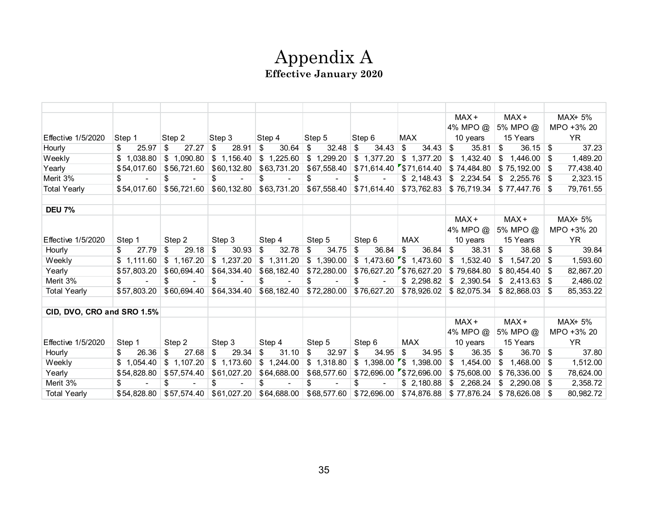# Appendix A **Effective January 2020**

|                            |             |             |             |             |             |                         |                           | MAX+           | MAX+           | MAX+ 5%         |
|----------------------------|-------------|-------------|-------------|-------------|-------------|-------------------------|---------------------------|----------------|----------------|-----------------|
|                            |             |             |             |             |             |                         |                           | 4% MPO @       | 5% MPO @       | MPO +3% 20      |
| <b>Effective 1/5/2020</b>  | Step 1      | Step 2      | Step 3      | Step 4      | Step 5      | Step 6                  | MAX                       | 10 years       | 15 Years       | <b>YR</b>       |
| Hourly                     | 25.97<br>\$ | \$<br>27.27 | 28.91<br>\$ | 30.64<br>\$ | 32.48<br>\$ | 34.43<br>\$             | \$<br>34.43               | 35.81<br>\$    | 36.15<br>\$    | 37.23<br>\$     |
| Weekly                     | \$1,038.80  | \$1,090.80  | \$1,156.40  | \$1,225.60  | \$1,299.20  | \$1,377.20              | \$1,377.20                | 1,432.40<br>\$ | 1,446.00<br>\$ | 1,489.20<br>\$  |
| Yearly                     | \$54,017.60 | \$56,721.60 | \$60,132.80 | \$63,731.20 | \$67,558.40 |                         | $$71,614.40$ $$71,614.40$ | \$74,484.80    | \$75,192.00    | 77,438.40<br>\$ |
| Merit 3%                   | \$          | \$          | \$          | \$          | \$          | \$                      | \$2,148.43                | \$2,234.54     | \$2,255.76     | 2,323.15        |
| <b>Total Yearly</b>        | \$54,017.60 | \$56,721.60 | \$60,132.80 | \$63,731.20 | \$67,558.40 | \$71,614.40             | \$73,762.83               | \$76,719.34    | \$77,447.76    | 79,761.55       |
|                            |             |             |             |             |             |                         |                           |                |                |                 |
| <b>DEU 7%</b>              |             |             |             |             |             |                         |                           |                |                |                 |
|                            |             |             |             |             |             |                         |                           | MAX+           | $MAX +$        | MAX+ 5%         |
|                            |             |             |             |             |             |                         |                           | 4% MPO @       | 5% MPO @       | MPO +3% 20      |
| <b>Effective 1/5/2020</b>  | Step 1      | Step 2      | Step 3      | Step 4      | Step 5      | Step 6                  | <b>MAX</b>                | 10 years       | 15 Years       | <b>YR</b>       |
| Hourly                     | 27.79<br>\$ | 29.18<br>\$ | 30.93<br>\$ | 32.78<br>\$ | 34.75<br>\$ | 36.84<br>\$             | 36.84<br>\$               | 38.31<br>\$    | 38.68<br>\$    | 39.84<br>\$     |
| Weekly                     | \$1,111.60  | \$1,167.20  | \$1,237.20  | \$1,311.20  | \$1,390.00  | $1,473.60$ \$<br>\$     | 1,473.60                  | 1,532.40<br>\$ | \$<br>1,547.20 | 1,593.60<br>\$  |
| Yearly                     | \$57,803.20 | \$60,694.40 | \$64,334.40 | \$68,182.40 | \$72,280.00 |                         | \$76,627.20 \$76,627.20   | \$79,684.80    | \$80,454.40    | 82,867.20<br>\$ |
| Merit 3%                   | \$          | \$          | \$          | \$          | \$          | \$                      | \$2,298.82                | \$2,390.54     | \$2,413.63     | 2,486.02<br>-S  |
| <b>Total Yearly</b>        | \$57.803.20 | \$60,694.40 | \$64,334.40 | \$68,182.40 | \$72,280.00 | \$76,627.20             | \$78,926.02               | \$82,075.34    | \$82,868,03    | 85,353.22<br>\$ |
|                            |             |             |             |             |             |                         |                           |                |                |                 |
| CID, DVO, CRO and SRO 1.5% |             |             |             |             |             |                         |                           |                |                |                 |
|                            |             |             |             |             |             |                         |                           | MAX+           | MAX+           | MAX+ 5%         |
|                            |             |             |             |             |             |                         |                           | 4% MPO @       | 5% MPO @       | MPO +3% 20      |
| <b>Effective 1/5/2020</b>  | Step 1      | Step 2      | Step 3      | Step 4      | Step 5      | Step 6                  | <b>MAX</b>                | 10 years       | 15 Years       | <b>YR</b>       |
| Hourly                     | 26.36<br>\$ | 27.68<br>\$ | 29.34<br>\$ | 31.10<br>\$ | 32.97<br>\$ | 34.95<br>\$             | 34.95<br>\$               | 36.35<br>\$    | 36.70<br>\$    | 37.80<br>- \$   |
| Weekly                     | \$1,054.40  | \$1,107.20  | \$1,173.60  | \$1,244.00  | \$1,318.80  | \$1,398.00              | $\mathsf{S}$<br>1,398.00  | 1,454.00<br>\$ | 1,468.00<br>\$ | 1,512.00<br>\$  |
| Yearly                     | \$54,828.80 | \$57,574.40 | \$61,027.20 | \$64,688.00 | \$68,577.60 | \$72,696.00             | 572,696.00                | \$75,608.00    | \$76,336.00    | \$<br>78,624.00 |
| Merit 3%                   | \$          | \$          | \$          | \$          | \$          | \$                      | \$2,180.88                | \$2,268.24     | \$<br>2,290.08 | 2,358.72        |
| <b>Total Yearly</b>        | \$54,828.80 | \$57,574.40 | \$61,027.20 | \$64,688.00 |             | \$68,577.60 \$72,696.00 | \$74,876.88               | \$77,876.24    | \$78,626.08    | 80,982.72<br>\$ |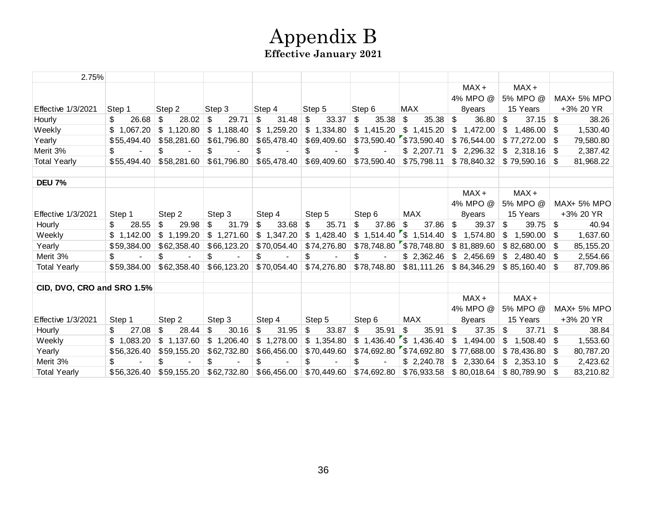# Appendix B **Effective January 2021**

| 2.75%                      |              |                |                           |                          |             |                |                           |                |                |                   |
|----------------------------|--------------|----------------|---------------------------|--------------------------|-------------|----------------|---------------------------|----------------|----------------|-------------------|
|                            |              |                |                           |                          |             |                |                           | $MAX +$        | $MAX +$        |                   |
|                            |              |                |                           |                          |             |                |                           | 4% MPO @       | 5% MPO @       | MAX+ 5% MPO       |
| <b>Effective 1/3/2021</b>  | Step 1       | Step 2         | Step 3                    | Step 4                   | Step 5      | Step 6         | MAX                       | 8years         | 15 Years       | +3% 20 YR         |
| Hourly                     | 26.68<br>\$  | 28.02<br>\$    | \$<br>29.71               | 31.48<br>\$              | 33.37<br>\$ | $\$\$<br>35.38 | \$<br>35.38               | 36.80<br>\$    | 37.15<br>\$    | \$<br>38.26       |
| Weekly                     | \$1,067.20   | \$1,120.80     | \$1,188.40                | \$1,259.20               | \$1,334.80  | \$1,415.20     | \$1,415.20                | \$<br>1,472.00 | \$<br>1,486.00 | 1,530.40<br>- \$  |
| Yearly                     | \$55,494.40  | \$58,281.60    | \$61,796.80               | \$65,478.40              | \$69,409.60 | \$73,590.40    | \$73,590.40               | \$76,544.00    | \$77,272.00    | 79,580.80         |
| Merit 3%                   | \$           | \$             | \$                        | \$                       | \$          | \$             | \$2,207.71                | \$2,296.32     | \$2,318.16     | 2,387.42          |
| <b>Total Yearly</b>        | \$55.494.40  | \$58,281.60    | \$61,796.80               | \$65,478.40              | \$69,409.60 | \$73,590.40    | \$75,798.11               | \$78,840.32    | \$79,590.16    | 81,968.22         |
|                            |              |                |                           |                          |             |                |                           |                |                |                   |
| <b>DEU 7%</b>              |              |                |                           |                          |             |                |                           |                |                |                   |
|                            |              |                |                           |                          |             |                |                           | $MAX +$        | $MAX +$        |                   |
|                            |              |                |                           |                          |             |                |                           | 4% MPO @       | 5% MPO @       | MAX+ 5% MPO       |
| <b>Effective 1/3/2021</b>  | Step 1       | Step 2         | Step 3                    | Step 4                   | Step 5      | Step 6         | <b>MAX</b>                | 8years         | 15 Years       | +3% 20 YR         |
| Hourly                     | 28.55<br>\$. | 29.98<br>\$    | 31.79<br>\$               | 33.68<br>\$              | \$<br>35.71 | \$<br>37.86    | $\mathfrak{S}$<br>37.86   | \$<br>39.37    | 39.75<br>\$    | \$<br>40.94       |
| Weekly                     | \$1,142.00   | \$1,199.20     | \$1,271.60                | \$1,347.20               | \$1,428.40  |                | $$1,514.40$ \ \$ 1,514.40 | \$<br>1,574.80 | \$<br>1,590.00 | 1,637.60<br>- \$  |
| Yearly                     | \$59,384.00  | \$62,358.40    | \$66,123.20               | \$70,054.40              | \$74,276.80 |                | $$78,748.80$ $$78,748.80$ | \$81,889.60    | \$82,680.00    | 85,155.20<br>- \$ |
| Merit 3%                   | \$           | \$.            | \$                        | \$                       | \$          | \$             | \$2,362.46                | \$2,456.69     | \$2,480,40     | 2,554.66<br>-SG   |
| <b>Total Yearly</b>        | \$59,384.00  | \$62,358.40    | \$66,123.20               | \$70,054.40              | \$74,276.80 | \$78,748.80    | \$81,111.26               | \$84,346.29    | \$85,160.40    | 87,709.86         |
|                            |              |                |                           |                          |             |                |                           |                |                |                   |
| CID, DVO, CRO and SRO 1.5% |              |                |                           |                          |             |                |                           |                |                |                   |
|                            |              |                |                           |                          |             |                |                           | $MAX +$        | $MAX +$        |                   |
|                            |              |                |                           |                          |             |                |                           | 4% MPO @       | 5% MPO @       | MAX+ 5% MPO       |
| Effective 1/3/2021         | Step 1       | Step 2         | Step 3                    | Step 4                   | Step 5      | Step 6         | MAX                       | 8years         | 15 Years       | +3% 20 YR         |
| Hourly                     | 27.08<br>\$. | 28.44<br>\$    | 30.16<br>\$               | \$<br>31.95              | \$<br>33.87 | \$<br>35.91    | 35.91<br>\$               | \$<br>37.35    | \$<br>37.71    | \$<br>38.84       |
| Weekly                     | \$1,083.20   | 1,137.60<br>\$ | $\mathcal{L}$<br>1,206.40 | $\mathbb{S}$<br>1,278.00 | \$1,354.80  | \$1,436.40     | \$1,436.40                | \$<br>1,494.00 | 1,508.40<br>\$ | 1,553.60<br>-S    |
| Yearly                     | \$56,326.40  | \$59,155.20    | \$62,732.80               | \$66,456.00              | \$70,449.60 |                | $$74,692.80$ $$74,692.80$ | \$77,688.00    | \$78,436.80    | 80,787.20         |
| Merit 3%                   | \$           | \$             | \$                        | \$                       | \$          | \$             | \$2,240.78                | \$2,330.64     | \$2,353.10     | 2,423.62          |
| <b>Total Yearly</b>        | \$56,326.40  | \$59,155.20    | \$62,732.80               | \$66,456.00              | \$70,449.60 | \$74,692.80    | \$76,933.58               | \$80,018.64    | \$80,789.90    | 83,210.82<br>-S   |